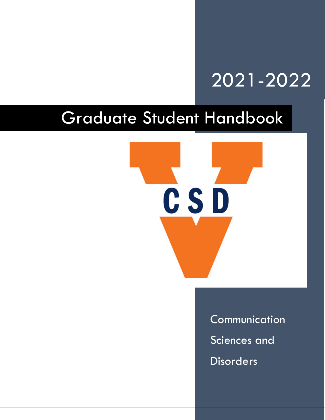# 2021-2022

# Graduate Student Handbook



**Communication** Sciences and **Disorders**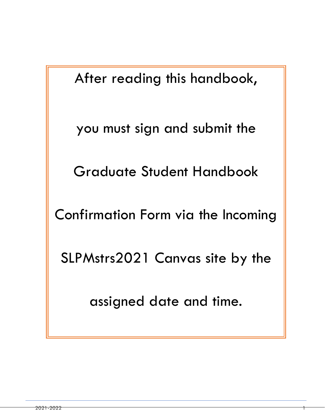After reading this handbook,

you must sign and submit the

Graduate Student Handbook

Confirmation Form via the Incoming

SLPMstrs2021 Canvas site by the

assigned date and time.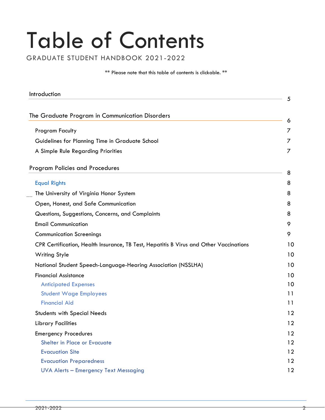# Table of Contents

GRADUATE STUDENT HANDBOOK 2021-2022

\*\* Please note that this table of contents is clickable. \*\*

<span id="page-2-1"></span><span id="page-2-0"></span>

| Introduction                                                                           | 5  |
|----------------------------------------------------------------------------------------|----|
|                                                                                        |    |
| The Graduate Program in Communication Disorders                                        | 6  |
| <b>Program Faculty</b>                                                                 |    |
| Guidelines for Planning Time in Graduate School                                        |    |
| A Simple Rule Regarding Priorities                                                     | 7  |
| <b>Program Policies and Procedures</b>                                                 | 8  |
| <b>Equal Rights</b>                                                                    | 8  |
| The University of Virginia Honor System                                                | 8  |
| Open, Honest, and Safe Communication                                                   | 8  |
| Questions, Suggestions, Concerns, and Complaints                                       | 8  |
| <b>Email Communication</b>                                                             | 9  |
| <b>Communication Screenings</b>                                                        | 9  |
| CPR Certification, Health Insurance, TB Test, Hepatitis B Virus and Other Vaccinations | 10 |
| <b>Writing Style</b>                                                                   | 10 |
| National Student Speech-Language-Hearing Association (NSSLHA)                          | 10 |
| <b>Financial Assistance</b>                                                            | 10 |
| <b>Anticipated Expenses</b>                                                            | 10 |
| <b>Student Wage Employees</b>                                                          | 11 |
| <b>Financial Aid</b>                                                                   | 11 |
| <b>Students with Special Needs</b>                                                     | 12 |
| <b>Library Facilities</b>                                                              | 12 |
| <b>Emergency Procedures</b>                                                            | 12 |
| Shelter in Place or Evacuate                                                           | 12 |
| <b>Evacuation Site</b>                                                                 | 12 |
| <b>Evacuation Preparedness</b>                                                         | 12 |
| <b>UVA Alerts - Emergency Text Messaging</b>                                           | 12 |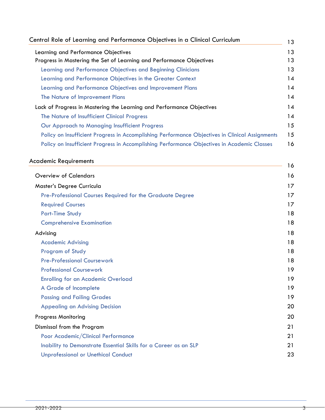| Central Role of Learning and Performance Objectives in a Clinical Curriculum                    |  |
|-------------------------------------------------------------------------------------------------|--|
| Learning and Performance Objectives                                                             |  |
| Progress in Mastering the Set of Learning and Performance Objectives                            |  |
| Learning and Performance Objectives and Beginning Clinicians                                    |  |
| Learning and Performance Objectives in the Greater Context                                      |  |
| Learning and Performance Objectives and Improvement Plans                                       |  |
| The Nature of Improvement Plans                                                                 |  |
| Lack of Progress in Mastering the Learning and Performance Objectives                           |  |
| The Nature of Insufficient Clinical Progress                                                    |  |
| Our Approach to Managing Insufficient Progress                                                  |  |
| Policy on Insufficient Progress in Accomplishing Performance Objectives in Clinical Assignments |  |
| Policy on Insufficient Progress in Accomplishing Performance Objectives in Academic Classes     |  |

# [Academic Requirements](#page-16-1) <sup>16</sup>

|                                                                  | $\sim$ |
|------------------------------------------------------------------|--------|
| <b>Overview of Calendars</b>                                     | 16     |
| Master's Degree Curricula                                        | 17     |
| Pre-Professional Courses Required for the Graduate Degree        | 17     |
| <b>Required Courses</b>                                          | 17     |
| <b>Part-Time Study</b>                                           | 18     |
| <b>Comprehensive Examination</b>                                 | 18     |
| Advising                                                         | 18     |
| <b>Academic Advising</b>                                         | 18     |
| Program of Study                                                 | 18     |
| <b>Pre-Professional Coursework</b>                               | 18     |
| <b>Professional Coursework</b>                                   | 19     |
| <b>Enrolling for an Academic Overload</b>                        | 19     |
| A Grade of Incomplete                                            | 19     |
| <b>Passing and Failing Grades</b>                                | 19     |
| <b>Appealing an Advising Decision</b>                            | 20     |
| <b>Progress Monitoring</b>                                       | 20     |
| Dismissal from the Program                                       | 21     |
| Poor Academic/Clinical Performance                               | 21     |
| Inability to Demonstrate Essential Skills for a Career as an SLP | 21     |
| <b>Unprofessional or Unethical Conduct</b>                       | 23     |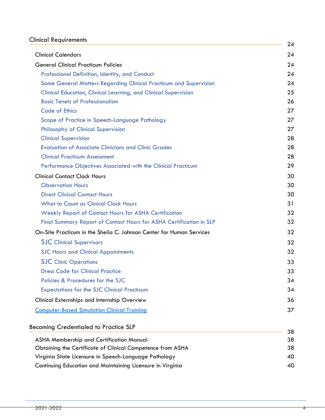# [Clinical Requirements](#page-24-0) 24

| <b>Clinical Calendars</b>                                              | 4<br>24 |
|------------------------------------------------------------------------|---------|
| <b>General Clinical Practicum Policies</b>                             | 24      |
| Professional Definition, Identity, and Conduct                         | 24      |
| Some General Matters Regarding Clinical Practicum and Supervision      | 24      |
| <b>Clinical Education, Clinical Learning, and Clinical Supervision</b> | 25      |
| <b>Basic Tenets of Professionalism</b>                                 | 26      |
| <b>Code of Ethics</b>                                                  | 27      |
| Scope of Practice in Speech-Language Pathology                         | 27      |
| <b>Philosophy of Clinical Supervision</b>                              | 27      |
| <b>Clinical Supervision</b>                                            | 28      |
| <b>Evaluation of Associate Clinicians and Clinic Grades</b>            | 28      |
| <b>Clinical Practicum Assessment</b>                                   | 28      |
| Performance Objectives Associated with the Clinical Practicum          | 29      |
| <b>Clinical Contact Clock Hours</b>                                    | 30      |
| <b>Observation Hours</b>                                               | 30      |
| <b>Direct Clinical Contact Hours</b>                                   | 30      |
| <b>What to Count as Clinical Clock Hours</b>                           | 31      |
| <b>Weekly Report of Contact Hours for ASHA Certification</b>           | 32      |
| Final Summary Report of Contact Hours for ASHA Certification in SLP    | 32      |
| On-Site Practicum in the Sheila C. Johnson Center for Human Services   | 32      |
| <b>SJC</b> Clinical Supervisors                                        | 32      |
| <b>SJC Hours and Clinical Appointments</b>                             | 32      |
| <b>SJC Clinic Operations</b>                                           | 33      |
| <b>Dress Code for Clinical Practice</b>                                | 33      |
| Policies & Procedures for the SJC                                      | 34      |
| <b>Expectations for the SJC Clinical Practicum</b>                     | 34      |
| Clinical Externships and Internship Overview                           | 36      |
| <b>Computer-Based Simulation Clinical Training</b>                     | 37      |
|                                                                        |         |
| <b>Becoming Credentialed to Practice SLP</b>                           | 38      |
| <b>ASHA Membership and Certification Manual</b>                        | 38      |
| Obtaining the Certificate of Clinical Competence from ASHA             | 38      |
| Virginia State Licensure in Speech-Language Pathology                  | 40      |
| Continuing Education and Maintaining Licensure in Virginia             | 40      |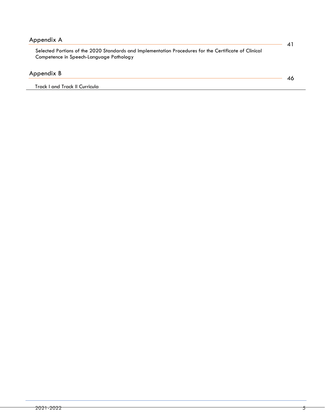| Appendix A                                                                                            |  |
|-------------------------------------------------------------------------------------------------------|--|
| Selected Portions of the 2020 Standards and Implementation Procedures for the Certificate of Clinical |  |
| Competence in Speech-Language Pathology                                                               |  |
|                                                                                                       |  |
| Appendix B                                                                                            |  |
| Track I and Track II Curricula                                                                        |  |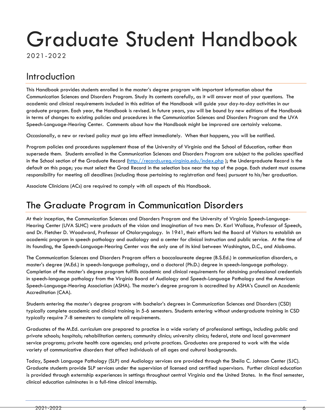# Graduate Student Handbook

2021-2022

# <span id="page-6-0"></span>Introduction

This Handbook provides students enrolled in the master's degree program with important information about the Communication Sciences and Disorders Program. Study its contents carefully, as it will answer most of your questions. The academic and clinical requirements included in this edition of the Handbook will guide your day-to-day activities in our graduate program. Each year, the Handbook is revised. In future years, you will be bound by new editions of the Handbook in terms of changes to existing policies and procedures in the Communication Sciences and Disorders Program and the UVA Speech-Language-Hearing Center. Comments about how the Handbook might be improved are certainly welcome.

Occasionally, a new or revised policy must go into effect immediately. When that happens, you will be notified.

Program policies and procedures supplement those of the University of Virginia and the School of Education, rather than supersede them. Students enrolled in the Communication Sciences and Disorders Program are subject to the policies specified in the School section of the Graduate Record [\(http://records.ureg.virginia.edu/index.php](http://records.ureg.virginia.edu/index.php) ); the Undergraduate Record is the default on this page; you must select the Grad Record in the selection box near the top of the page. Each student must assume responsibility for meeting all deadlines (including those pertaining to registration and fees) pursuant to his/her graduation.

Associate Clinicians (ACs) are required to comply with all aspects of this Handbook.

# <span id="page-6-1"></span>[The Graduate Program in Communication Disorders](#page-2-0)

At their inception, the Communication Sciences and Disorders Program and the University of Virginia Speech-Language-Hearing Center (UVA SLHC) were products of the vision and imagination of two men: Dr. Karl Wallace, Professor of Speech, and Dr. Fletcher D. Woodward, Professor of Otolaryngology. In 1941, their efforts led the Board of Visitors to establish an academic program in speech pathology and audiology and a center for clinical instruction and public service. At the time of its founding, the Speech-Language-Hearing Center was the only one of its kind between Washington, D.C., and Alabama.

The Communication Sciences and Disorders Program offers a baccalaureate degree (B.S.Ed.) in communication disorders, a master's degree (M.Ed.) in speech-language pathology, and a doctoral (Ph.D.) degree in speech-language pathology. Completion of the master's degree program fulfills academic and clinical requirements for obtaining professional credentials in speech-language pathology from the Virginia Board of Audiology and Speech-Language Pathology and the American Speech-Language-Hearing Association (ASHA). The master's degree program is accredited by ASHA's Council on Academic Accreditation (CAA).

Students entering the master's degree program with bachelor's degrees in Communication Sciences and Disorders (CSD) typically complete academic and clinical training in 5-6 semesters. Students entering without undergraduate training in CSD typically require 7-8 semesters to complete all requirements.

Graduates of the M.Ed. curriculum are prepared to practice in a wide variety of professional settings, including public and private schools; hospitals; rehabilitation centers; community clinics; university clinics; federal, state and local government service programs; private health care agencies; and private practices. Graduates are prepared to work with the wide variety of communicative disorders that affect individuals of all ages and cultural backgrounds.

Today, Speech Language Pathology (SLP) and Audiology services are provided through the Sheila C. Johnson Center (SJC). Graduate students provide SLP services under the supervision of licensed and certified supervisors. Further clinical education is provided through externship experiences in settings throughout central Virginia and the United States. In the final semester, clinical education culminates in a full-time clinical internship.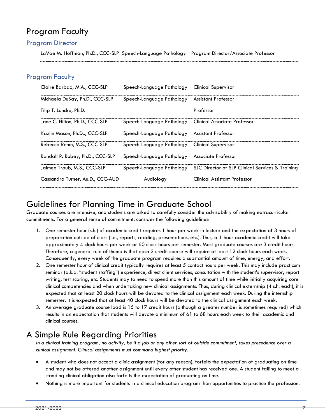# <span id="page-7-0"></span>Program Faculty

## Program Director

LaVae M. Hoffman, Ph.D., CCC-SLP Speech-Language Pathology Program Director/Associate Professor

## Program Faculty

| Claire Barbao, M.A., CCC-SLP     | Speech-Language Pathology                              | Clinical Supervisor                                                        |
|----------------------------------|--------------------------------------------------------|----------------------------------------------------------------------------|
| Michaela DuBay, Ph.D., CCC-SLP   | Speech-Language Pathology Assistant Professor          |                                                                            |
| Filip T. Loncke, Ph.D.           |                                                        | Professor                                                                  |
| Jane C. Hilton, Ph.D., CCC-SLP   | Speech-Language Pathology Clinical Associate Professor |                                                                            |
| Kazlin Mason, Ph.D, CCC-SLP      | Speech-Language Pathology Assistant Professor          |                                                                            |
| Rebecca Rehm, M.S., CCC-SLP      | Speech-Language Pathology                              | Clinical Supervisor                                                        |
| Randall R. Robey, Ph.D., CCC-SLP | Speech-Language Pathology                              | Associate Professor                                                        |
| Jaimee Traub, M.S., CCC-SLP      |                                                        | Speech-Language Pathology SJC Director of SLP Clinical Services & Training |
| Cassandra Turner, Au.D., CCC-AUD | Audiology                                              | Clinical Assistant Protessor                                               |

# <span id="page-7-1"></span>Guidelines for Planning Time in Graduate School

Graduate courses are intensive, and students are asked to carefully consider the advisability of making extracurricular commitments. For a general sense of commitment, consider the following guidelines:

- 1. One semester hour (s.h.) of academic credit requires 1 hour per week in lecture and the expectation of 3 hours of preparation outside of class (i.e., reports, reading, presentations, etc.). Thus, a 1-hour academic credit will take approximately 4 clock hours per week or 60 clock hours per semester. Most graduate courses are 3 credit hours. Therefore, a general rule of thumb is that each 3 credit course will require at least 12 clock hours each week. Consequently, every week of the graduate program requires a substantial amount of time, energy, and effort.
- 2. One semester hour of clinical credit typically requires at least 5 contact hours per week. This may include practicum seminar (a.k.a. "student staffing") experience, direct client services, consultation with the student's supervisor, report writing, test scoring, etc. Students may to need to spend more than this amount of time while initially acquiring core clinical competencies and when undertaking new clinical assignments. Thus, during clinical externship (4 s.h. each), it is expected that at least 20 clock hours will be devoted to the clinical assignment each week. During the internship semester, it is expected that at least 40 clock hours will be devoted to the clinical assignment each week.
- 3. An average graduate course load is 15 to 17 credit hours (although a greater number is sometimes required) which results in an expectation that students will devote a minimum of 61 to 68 hours each week to their academic and clinical courses.

# <span id="page-7-2"></span>A Simple Rule Regarding Priorities

*In a clinical training program, no activity, be it a job or any other sort of outside commitment, takes precedence over a clinical assignment. Clinical assignments must command highest priority.*

- A student who does not accept a clinic assignment (for any reason), forfeits the expectation of graduating on time and may not be offered another assignment until every other student has received one. A student failing to meet a standing clinical obligation also forfeits the expectation of graduating on time.
- Nothing is more important for students in a clinical education program than opportunities to practice the profession.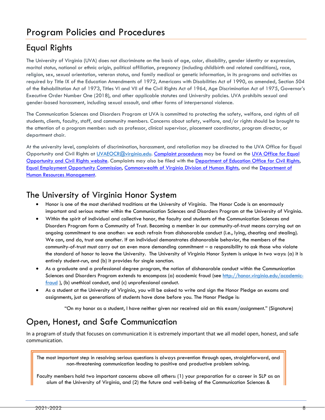# <span id="page-8-1"></span><span id="page-8-0"></span>Equal Rights

The University of Virginia (UVA) does not discriminate on the basis of age, color, disability, gender identity or expression, marital status, national or ethnic origin, political affiliation, pregnancy (including childbirth and related conditions), race, religion, sex, sexual orientation, veteran status, and family medical or genetic information, in its programs and activities as required by Title IX of the Education Amendments of 1972, Americans with Disabilities Act of 1990, as amended, Section 504 of the Rehabilitation Act of 1973, Titles VI and VII of the Civil Rights Act of 1964, Age Discrimination Act of 1975, Governor's Executive Order Number One (2018), and other applicable statutes and University policies. UVA prohibits sexual and gender-based harassment, including sexual assault, and other forms of interpersonal violence.

The Communication Sciences and Disorders Program at UVA is committed to protecting the safety, welfare, and rights of all students, clients, faculty, staff, and community members. Concerns about safety, welfare, and/or rights should be brought to the attention of a program member: such as professor, clinical supervisor, placement coordinator, program director, or department chair.

At the university level, complaints of discrimination, harassment, and retaliation may be directed to the UVA Office for Equal Opportunity and Civil Rights at [UVAEOCR@virginia.edu.](mailto:UVAEOCR@virginia.edu) Complaint [procedures](https://eocr.virginia.edu/file-complaint) may be found on the UVA [Office](https://eocr.virginia.edu/) for Equal [Opportunity](https://eocr.virginia.edu/) and Civil Rights website. Complaints may also be filed with the [Department](https://www2.ed.gov/about/offices/list/ocr/index.html) of Education Office for Civil Rights, Equal Employment [Opportunity](https://www.eeoc.gov/) Commission, [Commonwealth](https://www.oag.state.va.us/index.php/programs-initiatives/human-rights) of Virginia Division of Human Rights, and the [Department](https://www.dhrm.virginia.gov/employee-relations/equity-diversity-and-inclusion) of Human Resources [Management.](https://www.dhrm.virginia.gov/employee-relations/equity-diversity-and-inclusion)

# The University of Virginia Honor System

- Honor is one of the most cherished traditions at the University of Virginia. The Honor Code is an enormously important and serious matter within the Communication Sciences and Disorders Program at the University of Virginia.
- Within the spirit of individual and collective honor, the faculty and students of the Communication Sciences and Disorders Program form a Community of Trust. Becoming a member in our community-of-trust means carrying out an ongoing commitment to one another: we each refrain from dishonorable conduct (i.e., lying, cheating and stealing). We can, and do, trust one another. If an individual demonstrates dishonorable behavior, the members of the community-of-trust must carry out an even more demanding commitment – a responsibility to ask those who violate the standard of honor to leave the University. The University of Virginia Honor System is unique in two ways: (a) it is entirely student-run, and (b) it provides for single sanction.
- As a graduate and a professional degree program, the notion of dishonorable conduct within the Communication Sciences and Disorders Program extends to encompass (a) academic fraud (see [http://honor.virginia.edu/academic](http://honor.virginia.edu/academic-fraud)[fraud](http://honor.virginia.edu/academic-fraud) ), (b) unethical conduct, and (c) unprofessional conduct.
- As a student at the University of Virginia, you will be asked to write and sign the Honor Pledge on exams and assignments, just as generations of students have done before you. The Honor Pledge is:

"On my honor as a student, I have neither given nor received aid on this exam/assignment." (Signature)

# <span id="page-8-2"></span>Open, Honest, and Safe Communication

In a program of study that focuses on communication it is extremely important that we all model open, honest, and safe communication.

The most important step in resolving serious questions is always prevention through open, straightforward, and non-threatening communication leading to positive and productive problem solving.

Faculty members hold two important concerns above all others: (1) your preparation for a career in SLP as an alum of the University of Virginia, and (2) the future and well-being of the Communication Sciences &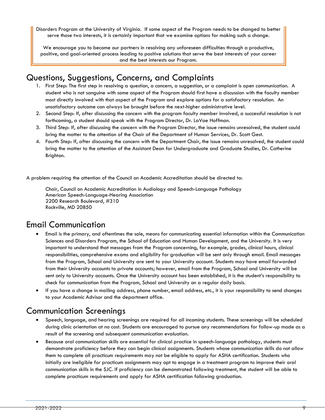Disorders Program at the University of Virginia. If some aspect of the Program needs to be changed to better serve those two interests, it is certainly important that we examine options for making such a change.

We encourage you to become our partners in resolving any unforeseen difficulties through a productive, positive, and goal-oriented process leading to positive solutions that serve the best interests of your career and the best interests our Program.

# <span id="page-9-0"></span>Questions, Suggestions, Concerns, and Complaints

- 1. First Step: The first step in resolving a question, a concern, a suggestion, or a complaint is open communication. A student who is not sanguine with some aspect of the Program should first have a discussion with the faculty member most directly involved with that aspect of the Program and explore options for a satisfactory resolution. An unsatisfactory outcome can always be brought before the next-higher administrative level.
- 2. Second Step: If, after discussing the concern with the program faculty member involved, a successful resolution is not forthcoming, a student should speak with the Program Director, Dr. LaVae Hoffman.
- 3. Third Step: If, after discussing the concern with the Program Director, the issue remains unresolved, the student could bring the matter to the attention of the Chair of the Department of Human Services, Dr. Scott Gest.
- 4. Fourth Step: If, after discussing the concern with the Department Chair, the issue remains unresolved, the student could bring the matter to the attention of the Assistant Dean for Undergraduate and Graduate Studies, Dr. Catherine Brighton.

A problem requiring the attention of the Council on Academic Accreditation should be directed to:

Chair, Council on Academic Accreditation in Audiology and Speech-Language Pathology American Speech-Language-Hearing Association 2200 Research Boulevard, #310 Rockville, MD 20850

# <span id="page-9-1"></span>Email Communication

- Email is the primary, and oftentimes the sole, means for communicating essential information within the Communication Sciences and Disorders Program, the School of Education and Human Development, and the University. It is very important to understand that messages from the Program concerning, for example, grades, clinical hours, clinical responsibilities, comprehensive exams and eligibility for graduation will be sent only through email. Email messages from the Program, School and University are sent to your University account. Students may have email forwarded from their University accounts to private accounts; however, email from the Program, School and University will be sent only to University accounts. Once the University account has been established, it is the student's responsibility to check for communication from the Program, School and University on a regular daily basis.
- If you have a change in mailing address, phone number, email address, etc., it is your responsibility to send changes to your Academic Advisor and the department office.

# <span id="page-9-2"></span>Communication Screenings

- Speech, language, and hearing screenings are required for all incoming students. These screenings will be scheduled during clinic orientation at no cost. Students are encouraged to pursue any recommendations for follow-up made as a result of the screening and subsequent communication evaluation.
- Because oral communication skills are essential for clinical practice in speech-language pathology, students must demonstrate proficiency before they can begin clinical assignments. Students whose communication skills do not allow them to complete all practicum requirements may not be eligible to apply for ASHA certification. Students who initially are ineligible for practicum assignments may opt to engage in a treatment program to improve their oral communication skills in the SJC. If proficiency can be demonstrated following treatment, the student will be able to complete practicum requirements and apply for ASHA certification following graduation.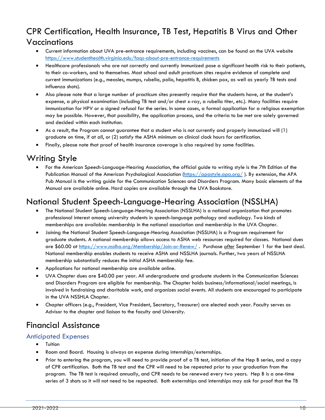# <span id="page-10-0"></span>CPR Certification, Health Insurance, TB Test, Hepatitis B Virus and Other Vaccinations

- Current information about UVA pre-entrance requirements, including vaccines, can be found on the UVA website <https://www.studenthealth.virginia.edu/faqs-about-pre-entrance-requirements>
- Healthcare professionals who are not correctly and currently immunized pose a significant health risk to their patients, to their co-workers, and to themselves. Most school and adult practicum sites require evidence of complete and current immunizations (e.g., measles, mumps, rubella, polio, hepatitis B, chicken pox, as well as yearly TB tests and influenza shots).
- Also please note that a large number of practicum sites presently require that the students have, at the student's expense, a physical examination (including TB test and/or chest x-ray, a rubella titer, etc.). Many facilities require immunization for HPV or a signed refusal for the series. In some cases, a formal application for a religious exemption may be possible. However, that possibility, the application process, and the criteria to be met are solely governed and decided within each institution.
- As a result, the Program cannot guarantee that a student who is not currently and properly immunized will (1) graduate on time, if at all, or (2) satisfy the ASHA minimum on clinical clock hours for certification.
- Finally, please note that proof of health insurance coverage is also required by some facilities.

# <span id="page-10-1"></span>Writing Style

• For the American Speech-Language-Hearing Association, the official guide to writing style is the 7th Edition of the Publication Manual of the American Psychological Association [\(https://apastyle.apa.org/](https://apastyle.apa.org/)). By extension, the APA Pub Manual is the writing guide for the Communication Sciences and Disorders Program. Many basic elements of the Manual are available online. Hard copies are available through the UVA Bookstore.

# <span id="page-10-2"></span>National Student Speech-Language-Hearing Association (NSSLHA)

- The National Student Speech-Language-Hearing Association (NSSLHA) is a national organization that promotes professional interest among university students in speech-language pathology and audiology. Two kinds of memberships are available: membership in the national association and membership in the UVA Chapter.
- Joining the National Student Speech-Language-Hearing Association (NSSLHA) is a Program requirement for graduate students. A national membership allows access to ASHA web resources required for classes. National dues are \$60.00 at<https://www.nsslha.org/Membership/Join-or-Renew/> . Purchase *after* September 1 for the best deal. National membership enables students to receive ASHA and NSSLHA journals. Further, two years of NSSLHA membership substantially reduces the initial ASHA membership fee.
- Applications for national membership are available online.
- UVA Chapter dues are \$40.00 per year. All undergraduate and graduate students in the Communication Sciences and Disorders Program are eligible for membership. The Chapter holds business/informational/social meetings, is involved in fundraising and charitable work, and organizes social events. All students are encouraged to participate in the UVA NSSHLA Chapter.
- Chapter officers (e.g., President, Vice President, Secretary, Treasurer) are elected each year. Faculty serves as Advisor to the chapter and liaison to the faculty and University.

# <span id="page-10-3"></span>Financial Assistance

## <span id="page-10-4"></span>Anticipated Expenses

- Tuition
- Room and Board. Housing is always an expense during internships/externships.
- Prior to entering the program, you will need to provide proof of a TB test, initiation of the Hep B series, and a copy of CPR certification. Both the TB test and the CPR will need to be repeated prior to your graduation from the program. The TB test is required annually, and CPR needs to be renewed every two years. Hep B is a one-time series of 3 shots so it will not need to be repeated. Both externships and internships may ask for proof that the TB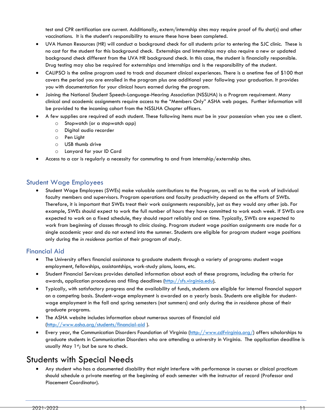test and CPR certification are current. Additionally, extern/internship sites may require proof of flu shot(s) and other vaccinations. It is the student's responsibility to ensure these have been completed.

- UVA Human Resources (HR) will conduct a background check for all students prior to entering the SJC clinic. These is no cost for the student for this background check. Externships and Internships may also require a new or updated background check different from the UVA HR background check. In this case, the student is financially responsible. Drug testing may also be required for externships and internships and is the responsibility of the student.
- CALIPSO is the online program used to track and document clinical experiences. There is a onetime fee of \$100 that covers the period you are enrolled in the program plus one additional year following your graduation. It provides you with documentation for your clinical hours earned during the program.
- Joining the National Student Speech-Language-Hearing Association (NSSLHA) is a Program requirement. Many clinical and academic assignments require access to the "Members Only" ASHA web pages. Further information will be provided to the incoming cohort from the NSSLHA Chapter officers.
- A few supplies are required of each student. These following items must be in your possession when you see a client.
	- o Stopwatch (or a stopwatch app)
	- o Digital audio recorder
	- o Pen Light
	- o USB thumb drive
	- o Lanyard for your ID Card
- Access to a car is regularly a necessity for commuting to and from internship/externship sites.

## <span id="page-11-0"></span>Student Wage Employees

• Student Wage Employees (SWEs) make valuable contributions to the Program, as well as to the work of individual faculty members and supervisors. Program operations and faculty productivity depend on the efforts of SWEs. Therefore, it is important that SWEs treat their work assignments responsibly, just as they would any other job. For example, SWEs should expect to work the full number of hours they have committed to work each week. If SWEs are expected to work on a fixed schedule, they should report reliably and on time. Typically, SWEs are expected to work from beginning of classes through to clinic closing. Program student wage position assignments are made for a single academic year and do not extend into the summer. Students are eligible for program student wage positions only during the *in residence* portion of their program of study.

## <span id="page-11-1"></span>Financial Aid

- The University offers financial assistance to graduate students through a variety of programs: student wage employment, fellowships, assistantships, work-study plans, loans, etc.
- Student Financial Services provides detailed information about each of these programs, including the criteria for awards, application procedures and filing deadlines [\(http://sfs.virginia.edu\)](http://sfs.virginia.edu/).
- Typically, with satisfactory progress and the availability of funds, students are eligible for internal financial support on a competing basis. Student-wage employment is awarded on a yearly basis. Students are eligible for studentwage employment in the fall and spring semesters (not summers) and only during the *in residence* phase of their graduate programs.
- The ASHA website includes information about numerous sources of financial aid [\(http://www.asha.org/students/financial-aid](http://www.asha.org/students/financial-aid) ).
- Every year, the Communication Disorders Foundation of Virginia [\(http://www.cdfvirginia.org/\)](http://www.cdfvirginia.org/) offers scholarships to graduate students in Communication Disorders who are attending a university in Virginia. The application deadline is usually May 1st; but be sure to check.

# <span id="page-11-2"></span>Students with Special Needs

• Any student who has a documented disability that might interfere with performance in courses or clinical practicum should schedule a private meeting at the beginning of each semester with the instructor of record (Professor and Placement Coordinator).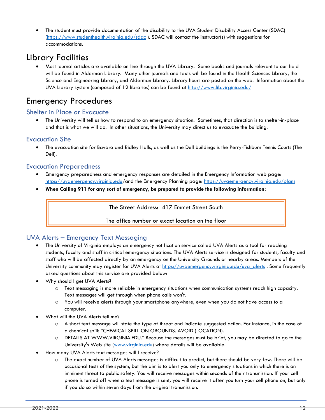• The student must provide documentation of the disability to the UVA Student Disability Access Center (SDAC) [\(https://www.studenthealth.virginia.edu/sdac](https://www.studenthealth.virginia.edu/sdac) [\).](http://www.virginia.edu/studenthealth/sdac/sdac.html)) SDAC will contact the instructor(s) with suggestions for accommodations.

# <span id="page-12-0"></span>Library Facilities

• Most journal articles are available on-line through the UVA Library. Some books and journals relevant to our field will be found in Alderman Library. Many other journals and texts will be found in the Health Sciences Library, the Science and Engineering Library, and Alderman Library. Library hours are posted on the web. Information about the UVA Library system (composed of 12 libraries) can be found at<http://www.lib.virginia.edu/>

# <span id="page-12-1"></span>Emergency Procedures

# <span id="page-12-2"></span>Shelter in Place or Evacuate

• The University will tell us how to respond to an emergency situation. Sometimes, that direction is to shelter-in-place and that is what we will do. In other situations, the University may direct us to evacuate the building.

## <span id="page-12-3"></span>Evacuation Site

• The evacuation site for Bavaro and Ridley Halls, as well as the Dell buildings is the Perry-Fishburn Tennis Courts (The Dell).

## <span id="page-12-4"></span>Evacuation Preparedness

- Emergency preparedness and emergency responses are detailed in the Emergency Information web page: <https://uvaemergency.virginia.edu/>and the Emergency Planning page: <https://uvaemergency.virginia.edu/plans>
- **When Calling 911 for any sort of emergency, be prepared to provide the following information:**

The Street Address: 417 Emmet Street South

The office number or exact location on the floor

## <span id="page-12-5"></span>UVA Alerts – Emergency Text Messaging

- The University of Virginia employs an emergency notification service called UVA Alerts as a tool for reaching students, faculty and staff in critical emergency situations. The UVA Alerts service is designed for students, faculty and staff who will be affected directly by an emergency on the University Grounds or nearby areas. Members of the University community may register for UVA Alerts at [https://uvaemergency.virginia.edu/uva\\_alerts](https://uvaemergency.virginia.edu/uva_alerts) . Some frequently asked questions about this service are provided below:
- Why should I get UVA Alerts?
	- o Text messaging is more reliable in emergency situations when communication systems reach high capacity. Text messages will get through when phone calls won't.
	- o You will receive alerts through your smartphone anywhere, even when you do not have access to a computer.
- What will the UVA Alerts tell me?
	- o A short text message will state the type of threat and indicate suggested action. For instance, in the case of a chemical spill: "CHEMICAL SPILL ON GROUNDS. AVOID (LOCATION).
	- o DETAILS AT WWW.VIRGINIA.EDU." Because the messages must be brief, you may be directed to go to the University's Web site [\(www.virginia.edu\)](http://www.virginia.edu/) where details will be available.
- How many UVA Alerts text messages will I receive?
	- o The exact number of UVA Alerts messages is difficult to predict, but there should be very few. There will be occasional tests of the system, but the aim is to alert you only to emergency situations in which there is an imminent threat to public safety. You will receive messages within seconds of their transmission. If your cell phone is turned off when a text message is sent, you will receive it after you turn your cell phone on, but only if you do so within seven days from the original transmission.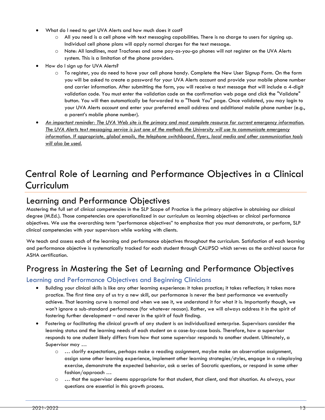- What do I need to get UVA Alerts and how much does it cost?
	- $\circ$  All you need is a cell phone with text messaging capabilities. There is no charge to users for signing up. Individual cell phone plans will apply normal charges for the text message.
	- o Note: All landlines, most Tracfones and some pay-as-you-go phones will not register on the UVA Alerts system. This is a limitation of the phone providers.
- How do I sign up for UVA Alerts?
	- o To register, you do need to have your cell phone handy. Complete the New User Signup Form. On the form you will be asked to create a password for your UVA Alerts account and provide your mobile phone number and carrier information. After submitting the form, you will receive a text message that will include a 4-digit validation code. You must enter the validation code on the confirmation web page and click the "Validate" button. You will then automatically be forwarded to a "Thank You" page. Once validated, you may login to your UVA Alerts account and enter your preferred email address and additional mobile phone number (e.g., a parent's mobile phone number).
- *An important reminder: The UVA Web site is the primary and most complete resource for current emergency information. The UVA Alerts text messaging service is just one of the methods the University will use to communicate emergency information. If appropriate, global emails, the telephone switchboard, flyers, local media and other communication tools will also be used.*

# <span id="page-13-1"></span><span id="page-13-0"></span>[Central Role of Learning and Performance Objectives in a Clinical](#page-13-0)  [Curriculum](#page-13-0)

# Learning and Performance Objectives

Mastering the full set of clinical competencies in the SLP Scope of Practice is the primary objective in obtaining our clinical degree (M.Ed.). Those competencies are operationalized in our curriculum as learning objectives or clinical performance objectives. We use the overarching term "performance objectives" to emphasize that you must demonstrate, or perform, SLP clinical competencies with your supervisors while working with clients.

We teach and assess each of the learning and performance objectives throughout the curriculum. Satisfaction of each learning and performance objective is systematically tracked for each student through CALIPSO which serves as the archival source for ASHA certification.

# <span id="page-13-2"></span>Progress in Mastering the Set of Learning and Performance Objectives

## <span id="page-13-3"></span>Learning and Performance Objectives and Beginning Clinicians

- Building your clinical skills is like any other learning experience: it takes practice; it takes reflection; it takes more practice. The first time any of us try a new skill, our performance is never the best performance we eventually achieve. That learning curve is normal and when we see it, we understand it for what it is. Importantly though, we won't ignore a sub-standard performance (for whatever reason). Rather, we will always address it in the spirit of fostering further development – and never in the spirit of fault finding.
- Fostering or facilitating the clinical growth of any student is an individualized enterprise. Supervisors consider the learning status and the learning needs of each student on a case-by-case basis. Therefore, how a supervisor responds to one student likely differs from how that same supervisor responds to another student. Ultimately, a Supervisor may …
	- $\circ \dots$  clarify expectations, perhaps make a reading assignment, maybe make an observation assignment, assign some other learning experience, implement other learning strategies/styles, engage in a roleplaying exercise, demonstrate the expected behavior, ask a series of Socratic questions, or respond in some other fashion/approach …
	- o … that the supervisor deems appropriate for that student, that client, and that situation. As always, your questions are essential in this growth process.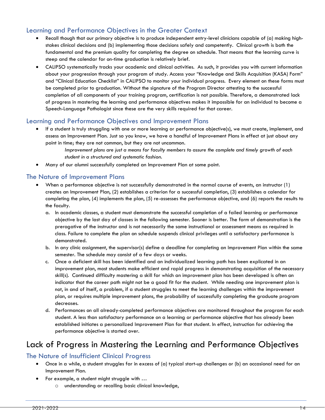# <span id="page-14-0"></span>Learning and Performance Objectives in the Greater Context

- Recall though that our primary objective is to produce independent entry-level clinicians capable of (a) making highstakes clinical decisions and (b) implementing those decisions safely and competently. Clinical growth is both the fundamental and the premium quality for completing the degree on schedule. That means that the learning curve is steep and the calendar for on-time graduation is relatively brief.
- CALIPSO systematically tracks your academic and clinical activities. As such, it provides you with current information about your progression through your program of study. Access your "Knowledge and Skills Acquisition (KASA) Form" and "Clinical Education Checklist" in CALIPSO to monitor your individual progress. Every element on these forms must be completed prior to graduation. Without the signature of the Program Director attesting to the successful completion of all components of your training program, certification is not possible. Therefore, a demonstrated lack of progress in mastering the learning and performance objectives makes it impossible for an individual to become a Speech-Language Pathologist since these are the very skills required for that career.

## <span id="page-14-1"></span>Learning and Performance Objectives and Improvement Plans

- If a student is truly struggling with one or more learning or performance objective(s), we must create, implement, and assess an Improvement Plan. Just so you know, we have a handful of Improvement Plans in effect at just about any point in time; they are not common, but they are not uncommon.
	- *Improvement plans are just a means for faculty members to assure the complete and timely growth of each student in a structured and systematic fashion.*
- Many of our alumni successfully completed an Improvement Plan at some point.

#### <span id="page-14-2"></span>The Nature of Improvement Plans

- When a performance objective is not successfully demonstrated in the normal course of events, an instructor (1) creates an Improvement Plan, (2) establishes a criterion for a successful completion, (3) establishes a calendar for completing the plan, (4) implements the plan, (5) re-assesses the performance objective, and (6) reports the results to the faculty.
	- a. In academic classes, a student must demonstrate the successful completion of a failed learning or performance objective by the last day of classes in the following semester. Sooner is better. The form of demonstration is the prerogative of the instructor and is not necessarily the same instructional or assessment means as required in class. Failure to complete the plan on schedule suspends clinical privileges until a satisfactory performance is demonstrated.
	- b. In any clinic assignment, the supervisor(s) define a deadline for completing an Improvement Plan within the same semester. The schedule may consist of a few days or weeks.
	- c. Once a deficient skill has been identified and an individualized learning path has been explicated in an improvement plan, most students make efficient and rapid progress in demonstrating acquisition of the necessary skill(s). Continued difficulty mastering a skill for which an improvement plan has been developed is often an indicator that the career path might not be a good fit for the student. While needing one improvement plan is not, in and of itself, a problem, if a student struggles to meet the learning challenges within the improvement plan, or requires multiple improvement plans, the probability of successfully completing the graduate program decreases.
	- d. Performances on all already-completed performance objectives are monitored throughout the program for each student. A less than satisfactory performance on a learning or performance objective that has already been established initiates a personalized Improvement Plan for that student. In effect, instruction for achieving the performance objective is started over.

# <span id="page-14-3"></span>Lack of Progress in Mastering the Learning and Performance Objectives

## <span id="page-14-4"></span>The Nature of Insufficient Clinical Progress

- Once in a while, a student struggles far in excess of (a) typical start-up challenges or (b) an occasional need for an Improvement Plan.
- For example, a student might struggle with …
	- o understanding or recalling basic clinical knowledge,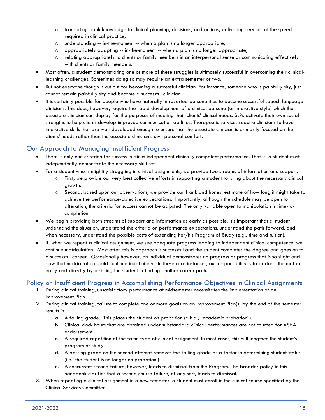- o translating book knowledge to clinical planning, decisions, and actions, delivering services at the speed required in clinical practice,
- o understanding -- in-the-moment -- when a plan is no longer appropriate,
- $\circ$  appropriately adapting  $-$  in-the-moment  $-$  when a plan is no longer appropriate,
- o relating appropriately to clients or family members in an interpersonal sense or communicating effectively with clients or family members.
- Most often, a student demonstrating one or more of these struggles is ultimately successful in overcoming their clinicallearning challenges. Sometimes doing so may require an extra semester or two.
- But not everyone though is cut out for becoming a successful clinician. For instance, someone who is painfully shy, just cannot remain painfully shy and become a successful clinician.
- It is certainly possible for people who have naturally introverted personalities to become successful speech language clinicians. This does, however, require the rapid development of a clinical persona (or interactive style) which the associate clinician can deploy for the purposes of meeting their clients' clinical needs. SLPs activate their own social strengths to help clients develop improved communication abilities. Therapeutic services require clinicians to have interactive skills that are well-developed enough to ensure that the associate clinician is primarily focused on the clients' needs rather than the associate clinician's own personal comfort.

## <span id="page-15-0"></span>Our Approach to Managing Insufficient Progress

- There is only one criterion for success in clinic: independent clinically competent performance. That is, a student must independently demonstrate the necessary skill set.
- For a student who is mightily struggling in clinical assignments, we provide two streams of information and support.
	- o First, we provide our very best collective efforts in supporting a student to bring about the necessary clinical growth.
	- o Second, based upon our observations, we provide our frank and honest estimate of how long it might take to achieve the performance-objective expectations. Importantly, although the schedule may be open to alteration, the criteria for success cannot be adjusted. The only variable open to manipulation is time-tocompletion.
- We begin providing both streams of support and information as early as possible. It's important that a student understand the situation, understand the criteria on performance expectations, understand the path forward, and, when necessary, understand the possible costs of extending her/his Program of Study (e.g., time and tuition).
- If, when we repeat a clinical assignment, we see adequate progress leading to independent clinical competence, we continue matriculation. Most often this is approach is successful and the student completes the degree and goes on to a successful career. Occasionally however, an individual demonstrates no progress or progress that is so slight and slow that matriculation could continue indefinitely. In these rare instances, our responsibility is to address the matter early and directly by assisting the student in finding another career path.

## <span id="page-15-1"></span>Policy on Insufficient Progress in Accomplishing Performance Objectives in Clinical Assignments

- 1. During clinical training, unsatisfactory performance at midsemester necessitates the implementation of an Improvement Plan.
- 2. During clinical training, failure to complete one or more goals on an Improvement Plan(s) by the end of the semester results in:
	- a. A failing grade. This places the student on probation (a.k.a., "academic probation").
	- b. Clinical clock hours that are obtained under substandard clinical performances are not counted for ASHA endorsement.
	- c. A required repetition of the same type of clinical assignment. In most cases, this will lengthen the student's program of study.
	- d. A passing grade on the second attempt removes the failing grade as a factor in determining student status (i.e., the student is no longer on probation.)
	- e. A concurrent second failure, however, leads to dismissal from the Program. The broader policy in this handbook clarifies that a second course failure, of any sort, leads to dismissal.
- 3. When repeating a clinical assignment in a new semester, a student must enroll in the clinical course specified by the Clinical Services Committee.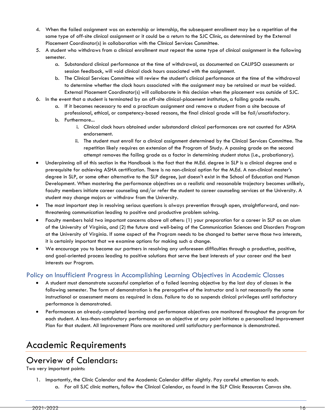- 4. When the failed assignment was an externship or internship, the subsequent enrollment may be a repetition of the same type of off-site clinical assignment or it could be a return to the SJC Clinic, as determined by the External Placement Coordinator(s) in collaboration with the Clinical Services Committee.
- 5. A student who withdraws from a clinical enrollment must repeat the same type of clinical assignment in the following semester.
	- a. Substandard clinical performance at the time of withdrawal, as documented on CALIPSO assessments or session feedback, will void clinical clock hours associated with the assignment.
	- b. The Clinical Services Committee will review the student's clinical performance at the time of the withdrawal to determine whether the clock hours associated with the assignment may be retained or must be voided. External Placement Coordinator(s) will collaborate in this decision when the placement was outside of SJC.
- 6. In the event that a student is terminated by an off-site clinical-placement institution, a failing grade results.
	- a. If it becomes necessary to end a practicum assignment and remove a student from a site because of professional, ethical, or competency-based reasons, the final clinical grade will be fail/unsatisfactory.
	- b. Furthermore...
		- i. Clinical clock hours obtained under substandard clinical performances are not counted for ASHA endorsement.
		- ii. The student must enroll for a clinical assignment determined by the Clinical Services Committee. The repetition likely requires an extension of the Program of Study. A passing grade on the second attempt removes the failing grade as a factor in determining student status (i.e., probationary).
- Underpinning all of this section in the Handbook is the fact that the M.Ed. degree in SLP is a clinical degree and a prerequisite for achieving ASHA certification. There is no non-clinical option for the M.Ed. A non-clinical master's degree in SLP, or some other alternative to the SLP degree, just doesn't exist in the School of Education and Human Development. When mastering the performance objectives on a realistic and reasonable trajectory becomes unlikely, faculty members initiate career counseling and/or refer the student to career counseling services at the University. A student may change majors or withdraw from the University.
- The most important step in resolving serious questions is always prevention through open, straightforward, and nonthreatening communication leading to positive and productive problem solving.
- Faculty members hold two important concerns above all others: (1) your preparation for a career in SLP as an alum of the University of Virginia, and (2) the future and well-being of the Communication Sciences and Disorders Program at the University of Virginia. If some aspect of the Program needs to be changed to better serve those two interests, it is certainly important that we examine options for making such a change.
- We encourage you to become our partners in resolving any unforeseen difficulties through a productive, positive, and goal-oriented process leading to positive solutions that serve the best interests of your career and the best interests our Program.

## <span id="page-16-0"></span>Policy on Insufficient Progress in Accomplishing Learning Objectives in Academic Classes

- A student must demonstrate successful completion of a failed learning objective by the last day of classes in the following semester. The form of demonstration is the prerogative of the instructor and is not necessarily the same instructional or assessment means as required in class. Failure to do so suspends clinical privileges until satisfactory performance is demonstrated.
- Performances on already-completed learning and performance objectives are monitored throughout the program for each student. A less-than-satisfactory performance on an objective at any point initiates a personalized Improvement Plan for that student. All Improvement Plans are monitored until satisfactory performance is demonstrated.

# <span id="page-16-1"></span>[Academic Requirements](#page-16-1)

# <span id="page-16-2"></span>Overview of Calendars:

Two very important points:

- 1. Importantly, the Clinic Calendar and the Academic Calendar differ slightly. Pay careful attention to each.
	- a. For all SJC clinic matters, follow the Clinical Calendar, as found in the SLP Clinic Resources Canvas site.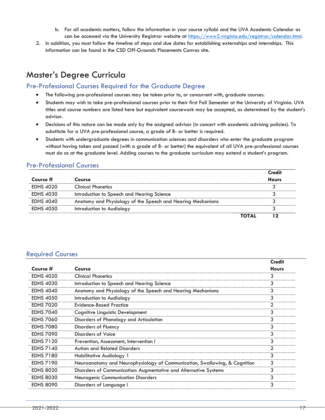- b. For all academic matters, follow the information in your course syllabi and the UVA Academic Calendar as can be accessed via the University Registrar website at [https://www2.virginia.edu/registrar/calendar.html.](https://www2.virginia.edu/registrar/calendar.html)
- 2. In addition, you must follow the timeline of steps and due dates for establishing externships and internships. This information can be found in the CSD Off-Grounds Placements Canvas site.

# <span id="page-17-0"></span>Master's Degree Curricula

## <span id="page-17-1"></span>Pre-Professional Courses Required for the Graduate Degree

- The following pre-professional courses may be taken prior to, or concurrent with, graduate courses.
- Students may wish to take pre-professional courses prior to their first Fall Semester at the University of Virginia. UVA titles and course numbers are listed here but equivalent coursework may be accepted, as determined by the student's advisor.
- Decisions of this nature can be made only by the assigned advisor (in concert with academic advising policies). To substitute for a UVA pre-professional course, a grade of B- or better is required.
- Students with undergraduate degrees in communication sciences and disorders who enter the graduate program without having taken and passed (with a grade of B- or better) the equivalent of all UVA pre-professional courses must do so at the graduate level. Adding courses to the graduate curriculum may extend a student's program.

## Pre-Professional Courses

|                  |                                                             | Credit       |
|------------------|-------------------------------------------------------------|--------------|
| Course #         | Course                                                      | <b>Hours</b> |
| <b>EDHS 4020</b> | <b>Clinical Phonetics</b>                                   |              |
| EDHS 4030        | Introduction to Speech and Hearing Science                  |              |
| <b>EDHS 4040</b> | Anatomy and Physiology of the Speech and Hearing Mechanisms |              |
| <b>EDHS 4050</b> | Introduction to Audiology                                   |              |
|                  |                                                             |              |

## <span id="page-17-2"></span>Required Courses

|                  |                                                                            | <b>Credit</b> |
|------------------|----------------------------------------------------------------------------|---------------|
| Course #         | Course                                                                     | <b>Hours</b>  |
| <b>EDHS 4020</b> | <b>Clinical Phonetics</b>                                                  |               |
| <b>EDHS 4030</b> | Introduction to Speech and Hearing Science                                 |               |
| <b>EDHS 4040</b> | Anatomy and Physiology of the Speech and Hearing Mechanisms                |               |
| <b>EDHS 4050</b> | Introduction to Audiology                                                  |               |
| <b>EDHS 7020</b> | Evidence-Based Practice                                                    |               |
| <b>EDHS 7040</b> | Cognitive Linguistic Development                                           |               |
| <b>EDHS 7060</b> | Disorders of Phonology and Articulation                                    |               |
| <b>EDHS 7080</b> | Disorders of Fluency                                                       |               |
| <b>EDHS 7090</b> | Disorders of Voice                                                         |               |
| <b>EDHS 7120</b> | Prevention, Assessment, Intervention                                       |               |
| <b>EDHS 7140</b> | <b>Autism and Related Disorders</b>                                        |               |
| <b>EDHS 7180</b> | Habilitative Audiology 1                                                   |               |
| <b>EDHS 7190</b> | Neuroanatomy and Neurophysiology of Communication, Swallowing, & Cognition |               |
| <b>EDHS 8020</b> | Disorders of Communication: Augmentative and Alternative Systems           |               |
| <b>EDHS 8030</b> | <b>Neurogenic Communication Disorders</b>                                  |               |
| <b>EDHS 8090</b> | Disorders of Language I                                                    |               |
|                  |                                                                            |               |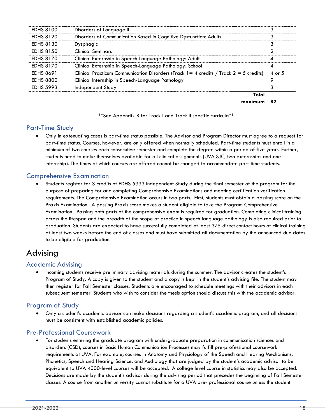| <b>EDHS 8100</b> | Disorders of Language II                                                                   |        |
|------------------|--------------------------------------------------------------------------------------------|--------|
| <b>EDHS 8120</b> | Disorders of Communication Based in Cognitive Dysfunction: Adults                          |        |
| <b>EDHS 8130</b> | Dysphagia                                                                                  |        |
| <b>EDHS 8150</b> | Clinical Seminars                                                                          |        |
| <b>EDHS 8170</b> | Clinical Externship in Speech-Language Pathology: Adult                                    |        |
| <b>EDHS 8170</b> | Clinical Externship in Speech-Language Pathology: School                                   |        |
| <b>EDHS 8691</b> | Clinical Practicum Communication Disorders (Track $1 = 4$ credits / Track $2 = 5$ credits) | 4 or 5 |
| <b>EDHS 8800</b> | Clinical Internship in Speech-Language Pathology                                           |        |
| <b>EDHS 5993</b> | Independent Study                                                                          |        |
|                  |                                                                                            |        |

**maximum 82**

\*\*See Appendix B for Track I and Track II specific curricula\*\*

## <span id="page-18-0"></span>Part-Time Study

• Only in extenuating cases is part-time status possible. The Advisor and Program Director must agree to a request for part-time status. Courses, however, are only offered when normally scheduled. Part-time students must enroll in a minimum of two courses each consecutive semester and complete the degree within a period of five years. Further, students need to make themselves available for all clinical assignments (UVA SJC, two externships and one internship). The times at which courses are offered cannot be changed to accommodate part-time students.

## <span id="page-18-1"></span>Comprehensive Examination

• Students register for 3 credits of EDHS 5993 Independent Study during the final semester of the program for the purpose of preparing for and completing Comprehensive Examinations and meeting certification verification requirements. The Comprehensive Examination occurs in two parts. First, students must obtain a passing score on the Praxis Examination. A passing Praxis score makes a student eligible to take the Program Comprehensive Examination. Passing both parts of the comprehensive exam is required for graduation. Completing clinical training across the lifespan and the breadth of the scope of practice in speech language pathology is also required prior to graduation. Students are expected to have successfully completed at least 375 direct contact hours of clinical training at least two weeks before the end of classes and must have submitted all documentation by the announced due dates to be eligible for graduation.

# <span id="page-18-2"></span>Advising

## <span id="page-18-3"></span>Academic Advising

• Incoming students receive preliminary advising materials during the summer. The advisor creates the student's Program of Study. A copy is given to the student and a copy is kept in the student's advising file. The student may then register for Fall Semester classes. Students are encouraged to schedule meetings with their advisors in each subsequent semester. Students who wish to consider the thesis option should discuss this with the academic advisor.

# <span id="page-18-4"></span>Program of Study

• Only a student's academic advisor can make decisions regarding a student's academic program, and all decisions must be consistent with established academic policies.

## <span id="page-18-5"></span>Pre-Professional Coursework

• For students entering the graduate program with undergraduate preparation in communication sciences and disorders (CSD), courses in Basic Human Communication Processes may fulfill pre-professional coursework requirements at UVA. For example, courses in Anatomy and Physiology of the Speech and Hearing Mechanisms, Phonetics, Speech and Hearing Science, and Audiology that are judged by the student's academic advisor to be equivalent to UVA 4000-level courses will be accepted. A college level course in statistics may also be accepted. Decisions are made by the student's advisor during the advising period that precedes the beginning of Fall Semester classes. A course from another university cannot substitute for a UVA pre- professional course unless the student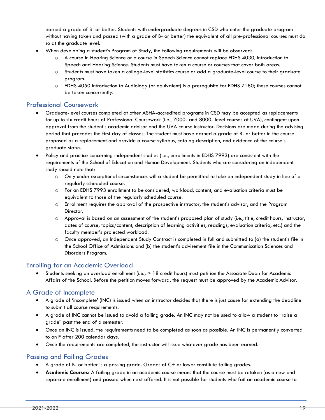earned a grade of B- or better. Students with undergraduate degrees in CSD who enter the graduate program without having taken and passed (with a grade of B- or better) the equivalent of all pre-professional courses must do so at the graduate level.

- When developing a student's Program of Study, the following requirements will be observed:
	- o A course in Hearing Science or a course in Speech Science cannot replace EDHS 4030, Introduction to Speech and Hearing Science. Students must have taken a course or courses that cover both areas.
	- o Students must have taken a college-level statistics course or add a graduate-level course to their graduate program.
	- o EDHS 4050 Introduction to Audiology (or equivalent) is a prerequisite for EDHS 7180; these courses cannot be taken concurrently.

#### <span id="page-19-0"></span>Professional Coursework

- Graduate-level courses completed at other ASHA-accredited programs in CSD may be accepted as replacements for up to six credit hours of Professional Coursework (i.e., 7000- and 8000- level courses at UVA), contingent upon approval from the student's academic advisor and the UVA course instructor. Decisions are made during the advising period that precedes the first day of classes. The student must have earned a grade of B- or better in the course proposed as a replacement and provide a course syllabus, catalog description, and evidence of the course's graduate status.
- Policy and practice concerning independent studies (i.e., enrollments in EDHS 7993) are consistent with the requirements of the School of Education and Human Development. Students who are considering an independent study should note that:
	- o Only under exceptional circumstances will a student be permitted to take an independent study in lieu of a regularly scheduled course.
	- o For an EDHS 7993 enrollment to be considered, workload, content, and evaluation criteria must be equivalent to those of the regularly scheduled course.
	- $\circ$  Enrollment requires the approval of the prospective instructor, the student's advisor, and the Program Director.
	- o Approval is based on an assessment of the student's proposed plan of study (i.e., title, credit hours, instructor, dates of course, topics/content, description of learning activities, readings, evaluation criteria, etc.) and the faculty member's projected workload.
	- o Once approved, an Independent Study Contract is completed in full and submitted to (a) the student's file in the School Office of Admissions and (b) the student's advisement file in the Communication Sciences and Disorders Program.

## <span id="page-19-1"></span>Enrolling for an Academic Overload

• Students seeking an overload enrollment (i.e., ≥ 18 credit hours) must petition the Associate Dean for Academic Affairs of the School. Before the petition moves forward, the request must be approved by the Academic Advisor.

## <span id="page-19-2"></span>A Grade of Incomplete

- A grade of 'incomplete' (INC) is issued when an instructor decides that there is just cause for extending the deadline to submit all course requirements.
- A grade of INC cannot be issued to avoid a failing grade. An INC may not be used to allow a student to "raise a grade" past the end of a semester.
- Once an INC is issued, the requirements need to be completed as soon as possible. An INC is permanently converted to an F after 200 calendar days.
- Once the requirements are completed, the instructor will issue whatever grade has been earned.

## <span id="page-19-3"></span>Passing and Failing Grades

- A grade of B- or better is a passing grade. Grades of C+ or lower constitute failing grades.
- **Academic Courses:** A failing grade in an academic course means that the course must be retaken (as a new and separate enrollment) and passed when next offered. It is not possible for students who fail an academic course to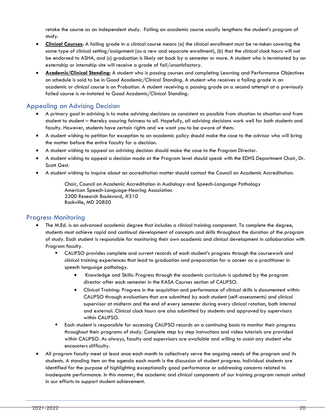retake the course as an independent study. Failing an academic course usually lengthens the student's program of study.

- **Clinical Courses**: A failing grade in a clinical course means (a) the clinical enrollment must be re-taken covering the same type of clinical setting/assignment (as a new and separate enrollment), (b) that the clinical clock hours will not be endorsed to ASHA, and (c) graduation is likely set back by a semester or more. A student who is terminated by an externship or internship site will receive a grade of fail/unsatisfactory.
- **Academic/Clinical Standing:** A student who is passing courses and completing Learning and Performance Objectives on schedule is said to be in Good Academic/Clinical Standing. A student who receives a failing grade in an academic or clinical course is on Probation. A student receiving a passing grade on a second attempt at a previously failed course is re-instated to Good Academic/Clinical Standing.

## <span id="page-20-0"></span>Appealing an Advising Decision

- A primary goal in advising is to make advising decisions as consistent as possible from situation to situation and from student to student – thereby assuring fairness to all. Hopefully, all advising decisions work well for both students and faculty. However, students have certain rights and we want you to be aware of them.
- A student wishing to petition for exception to an academic policy should make the case to the advisor who will bring the matter before the entire faculty for a decision.
- A student wishing to appeal an advising decision should make the case to the Program Director.
- A student wishing to appeal a decision made at the Program level should speak with the EDHS Department Chair, Dr. Scott Gest.
- A student wishing to inquire about an accreditation matter should contact the Council on Academic Accreditation:

<span id="page-20-1"></span>Chair, Council on Academic Accreditation in Audiology and Speech-Language Pathology American Speech-Language-Hearing Association 2200 Research Boulevard, #310 Rockville, MD 20850

## Progress Monitoring

- The M.Ed. is an advanced academic degree that includes a clinical training component. To complete the degree, students must achieve rapid and continual development of concepts and skills throughout the duration of the program of study. Each student is responsible for monitoring their own academic and clinical development in collaboration with Program faculty.
	- CALIPSO provides complete and current records of each student's progress through the coursework and clinical training experiences that lead to graduation and preparation for a career as a practitioner in speech language pathology.
		- Knowledge and Skills: Progress through the academic curriculum is updated by the program director after each semester in the KASA Courses section of CALIPSO.
		- Clinical Training: Progress in the acquisition and performance of clinical skills is documented within CALIPSO through evaluations that are submitted by each student (self-assessments) and clinical supervisor at midterm and the end of every semester during every clinical rotation, both internal and external. Clinical clock hours are also submitted by students and approved by supervisors within CALIPSO.
	- Each student is responsible for accessing CALIPSO records on a continuing basis to monitor their progress throughout their programs of study. Complete step by step instructions and video tutorials are provided within CALIPSO. As always, faculty and supervisors are available and willing to assist any student who encounters difficulty.
- All program faculty meet at least once each month to collectively serve the ongoing needs of the program and its students. A standing item on the agenda each month is the discussion of student progress. Individual students are identified for the purpose of highlighting exceptionally good performance or addressing concerns related to inadequate performance. In this manner, the academic and clinical components of our training program remain united in our efforts to support student achievement.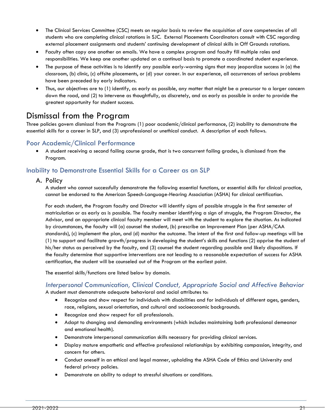- The Clinical Services Committee (CSC) meets on regular basis to review the acquisition of core competencies of all students who are completing clinical rotations in SJC. External Placements Coordinators consult with CSC regarding external placement assignments and students' continuing development of clinical skills in Off Grounds rotations.
- Faculty often copy one another on emails. We have a complex program and faculty fill multiple roles and responsibilities. We keep one another updated on a continual basis to promote a coordinated student experience.
- The purpose of these activities is to identify any possible early-warning signs that may jeopardize success in (a) the classroom, (b) clinic, (c) offsite placements, or (d) your career. In our experience, all occurrences of serious problems have been preceded by early indicators.
- Thus, our objectives are to (1) identify, as early as possible, any matter that might be a precursor to a larger concern down the road, and (2) to intervene as thoughtfully, as discretely, and as early as possible in order to provide the greatest opportunity for student success.

# <span id="page-21-0"></span>Dismissal from the Program

Three policies govern dismissal from the Program: (1) poor academic/clinical performance, (2) inability to demonstrate the essential skills for a career in SLP, and (3) unprofessional or unethical conduct. A description of each follows.

## <span id="page-21-1"></span>Poor Academic/Clinical Performance

• A student receiving a second failing course grade, that is two concurrent failing grades, is dismissed from the Program.

# <span id="page-21-2"></span>Inability to Demonstrate Essential Skills for a Career as an SLP

## A. Policy

A student who cannot successfully demonstrate the following essential functions, or essential skills for clinical practice, cannot be endorsed to the American Speech-Language-Hearing Association (ASHA) for clinical certification.

For each student, the Program faculty and Director will identify signs of possible struggle in the first semester of matriculation or as early as is possible. The faculty member identifying a sign of struggle, the Program Director, the Advisor, and an appropriate clinical faculty member will meet with the student to explore the situation. As indicated by circumstances, the faculty will (a) counsel the student, (b) prescribe an Improvement Plan (per ASHA/CAA standards), (c) implement the plan, and (d) monitor the outcome. The intent of the first and follow-up meetings will be (1) to support and facilitate growth/progress in developing the student's skills and functions (2) apprise the student of his/her status as perceived by the faculty, and (3) counsel the student regarding possible and likely dispositions. If the faculty determine that supportive interventions are not leading to a reasonable expectation of success for ASHA certification, the student will be counseled out of the Program at the earliest point.

The essential skills/functions are listed below by domain.

# *Interpersonal Communication, Clinical Conduct, Appropriate Social and Affective Behavior*

A student must demonstrate adequate behavioral and social attributes to:

- Recognize and show respect for individuals with disabilities and for individuals of different ages, genders, race, religions, sexual orientation, and cultural and socioeconomic backgrounds.
- Recognize and show respect for all professionals.
- Adapt to changing and demanding environments (which includes maintaining both professional demeanor and emotional health).
- Demonstrate interpersonal communication skills necessary for providing clinical services.
- Display mature empathetic and effective professional relationships by exhibiting compassion, integrity, and concern for others.
- Conduct oneself in an ethical and legal manner, upholding the ASHA Code of Ethics and University and federal privacy policies.
- Demonstrate an ability to adapt to stressful situations or conditions.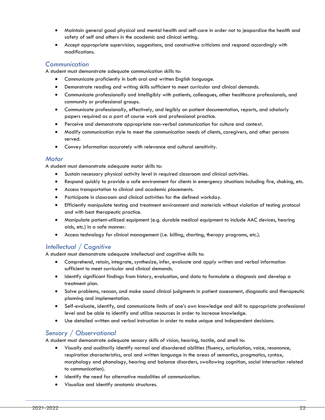- Maintain general good physical and mental health and self-care in order not to jeopardize the health and safety of self and others in the academic and clinical setting.
- Accept appropriate supervision, suggestions, and constructive criticisms and respond accordingly with modifications.

## *Communication*

A student must demonstrate adequate communication skills to:

- Communicate proficiently in both oral and written English language.
- Demonstrate reading and writing skills sufficient to meet curricular and clinical demands.
- Communicate professionally and intelligibly with patients, colleagues, other healthcare professionals, and community or professional groups.
- Communicate professionally, effectively, and legibly on patient documentation, reports, and scholarly papers required as a part of course work and professional practice.
- Perceive and demonstrate appropriate non-verbal communication for culture and context.
- Modify communication style to meet the communication needs of clients, caregivers, and other persons served.
- Convey information accurately with relevance and cultural sensitivity.

#### *Motor*

A student must demonstrate adequate motor skills to:

- Sustain necessary physical activity level in required classroom and clinical activities.
- Respond quickly to provide a safe environment for clients in emergency situations including fire, choking, etc.
- Access transportation to clinical and academic placements.
- Participate in classroom and clinical activities for the defined workday.
- Efficiently manipulate testing and treatment environment and materials without violation of testing protocol and with best therapeutic practice.
- Manipulate patient-utilized equipment (e.g. durable medical equipment to include AAC devices, hearing aids, etc.) in a safe manner.
- Access technology for clinical management (i.e. billing, charting, therapy programs, etc.).

# *Intellectual / Cognitive*

A student must demonstrate adequate intellectual and cognitive skills to:

- Comprehend, retain, integrate, synthesize, infer, evaluate and apply written and verbal information sufficient to meet curricular and clinical demands.
- Identify significant findings from history, evaluation, and data to formulate a diagnosis and develop a treatment plan.
- Solve problems, reason, and make sound clinical judgments in patient assessment, diagnostic and therapeutic planning and implementation.
- Self-evaluate, identify, and communicate limits of one's own knowledge and skill to appropriate professional level and be able to identify and utilize resources in order to increase knowledge.
- Use detailed written and verbal instruction in order to make unique and independent decisions.

## *Sensory / Observational*

A student must demonstrate adequate sensory skills of vision, hearing, tactile, and smell to:

- Visually and auditorily identify normal and disordered abilities (fluency, articulation, voice, resonance, respiration characteristics, oral and written language in the areas of semantics, pragmatics, syntax, morphology and phonology, hearing and balance disorders, swallowing cognition, social interaction related to communication).
- Identify the need for alternative modalities of communication.
- Visualize and identify anatomic structures.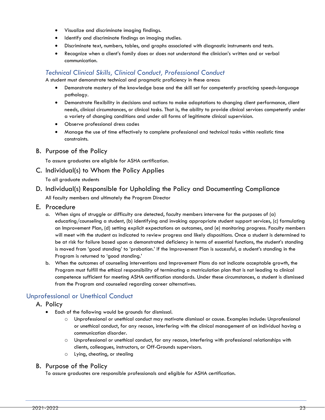- Visualize and discriminate imaging findings.
- Identify and discriminate findings on imaging studies.
- Discriminate text, numbers, tables, and graphs associated with diagnostic instruments and tests.
- Recognize when a client's family does or does not understand the clinician's written and or verbal communication.

# *Technical Clinical Skills, Clinical Conduct, Professional Conduct*

A student must demonstrate technical and pragmatic proficiency in these areas:

- Demonstrate mastery of the knowledge base and the skill set for competently practicing speech-language pathology.
- Demonstrate flexibility in decisions and actions to make adaptations to changing client performance, client needs, clinical circumstances, or clinical tasks. That is, the ability to provide clinical services competently under a variety of changing conditions and under all forms of legitimate clinical supervision.
- Observe professional dress codes
- Manage the use of time effectively to complete professional and technical tasks within realistic time constraints.
- B. Purpose of the Policy

To assure graduates are eligible for ASHA certification.

C. Individual(s) to Whom the Policy Applies

To all graduate students

## D. Individual(s) Responsible for Upholding the Policy and Documenting Compliance

All faculty members and ultimately the Program Director

- E. Procedure
	- a. When signs of struggle or difficulty are detected, faculty members intervene for the purposes of (a) educating/counseling a student, (b) identifying and invoking appropriate student support services, (c) formulating an Improvement Plan, (d) setting explicit expectations on outcomes, and (e) monitoring progress. Faculty members will meet with the student as indicated to review progress and likely dispositions. Once a student is determined to be at risk for failure based upon a demonstrated deficiency in terms of essential functions, the student's standing is moved from 'good standing' to 'probation.' If the Improvement Plan is successful, a student's standing in the Program is returned to 'good standing.'
	- b. When the outcomes of counseling interventions and Improvement Plans do not indicate acceptable growth, the Program must fulfill the ethical responsibility of terminating a matriculation plan that is not leading to clinical competence sufficient for meeting ASHA certification standards. Under these circumstances, a student is dismissed from the Program and counseled regarding career alternatives.

# <span id="page-23-0"></span>Unprofessional or Unethical Conduct

- A. Policy
	- Each of the following would be grounds for dismissal.
		- o Unprofessional or unethical conduct may motivate dismissal or cause. Examples include: Unprofessional or unethical conduct, for any reason, interfering with the clinical management of an individual having a communication disorder.
		- o Unprofessional or unethical conduct, for any reason, interfering with professional relationships with clients, colleagues, instructors, or Off-Grounds supervisors.
		- o Lying, cheating, or stealing

## B. Purpose of the Policy

To assure graduates are responsible professionals and eligible for ASHA certification.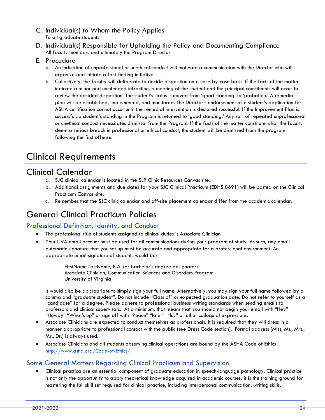- C. Individual(s) to Whom the Policy Applies To all graduate students
- D. Individual(s) Responsible for Upholding the Policy and Documenting Compliance All faculty members and ultimately the Program Director
- E. Procedure
	- a. An indication of unprofessional or unethical conduct will motivate a communication with the Director who will organize and initiate a fact-finding initiative.
	- b. Collectively, the faculty will deliberate to decide disposition on a case-by-case basis. If the facts of the matter indicate a minor and unintended infraction, a meeting of the student and the principal constituents will occur to review the decided disposition. The student's status is moved from 'good standing' to 'probation.' A remedial plan will be established, implemented, and monitored. The Director's endorsement of a student's application for ASHA certification cannot occur until the remedial intervention is declared successful. If the Improvement Plan is successful, a student's standing in the Program is returned to 'good standing.' Any sort of repeated unprofessional or unethical conduct necessitates dismissal from the Program. If the facts of the matter constitute what the faculty deem a serious breach in professional or ethical conduct, the student will be dismissed from the program following the first offense.

# <span id="page-24-0"></span>[Clinical Requirements](#page-24-0)

# <span id="page-24-1"></span>Clinical Calendar

- a. SJC clinical calendar is located in the SLP Clinic Resources Canvas site.
- b. Additional assignments and due dates for your SJC Clinical Practicum (EDHS 8691) will be posted on the Clinical Practicum Canvas site.
- c. Remember that the SJC clinic calendar and off-site placement calendar differ from the academic calendar.

# <span id="page-24-2"></span>General Clinical Practicum Policies

# <span id="page-24-3"></span>Professional Definition, Identity, and Conduct

- The professional title of students assigned to clinical duties is Associate Clinician.
- Your UVA email account must be used for all communications during your program of study. As such, any email automatic signature that you set up must be accurate and appropriate for a professional environment. An appropriate email signature of students would be:

FirstName LastName, B.A. (or bachelor's degree designator) Associate Clinician, Communication Sciences and Disorders Program University of Virginia

It would also be appropriate to simply sign your full name. Alternatively, you may sign your full name followed by a comma and "graduate student". Do not include "Class of" or expected graduation date. Do not refer to yourself as a "candidate" for a degree. Please adhere to professional business writing standards when sending emails to professors and clinical supervisors. At a minimum, that means that you should not begin your email with "Hey" "Howdy" "What's up" or sign off with "Peace" "later" "luv" or other colloquial expressions.

- Associate Clinicians are expected to conduct themselves as professionals. It is required that they will dress in a manner appropriate to professional contact with the public (see Dress Code section). Formal address (Miss, Ms., Mrs., Mr., Dr.) is always used.
- Associate Clinicians and all students observing clinical operations are bound by the ASHA Code of Ethics <http://www.asha.org/Code-of-Ethics/>

# <span id="page-24-4"></span>Some General Matters Regarding Clinical Practicum and Supervision

• Clinical practica are an essential component of graduate education in speech-language pathology. Clinical practice is not only the opportunity to apply theoretical knowledge acquired in academic courses; it is the training ground for mastering the full skill set required for clinical practice, including interpersonal communication, writing skills,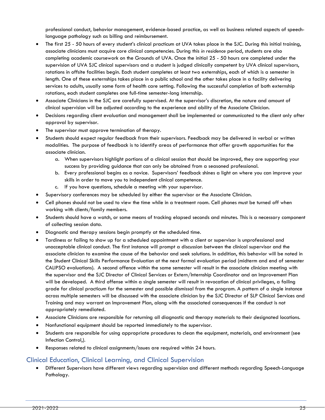professional conduct, behavior management, evidence-based practice, as well as business related aspects of speechlanguage pathology such as billing and reimbursement.

- The first 25 50 hours of every student's clinical practicum at UVA takes place in the SJC. During this initial training, associate clinicians must acquire core clinical competencies. During this *in residence* period, students are also completing academic coursework on the Grounds of UVA. Once the initial 25 - 50 hours are completed under the supervision of UVA SJC clinical supervisors and a student is judged clinically competent by UVA clinical supervisors, rotations in offsite facilities begin. Each student completes at least two externships, each of which is a semester in length. One of these externships takes place in a public school and the other takes place in a facility delivering services to adults, usually some form of health care setting. Following the successful completion of both externship rotations, each student completes one full-time semester-long internship.
- Associate Clinicians in the SJC are carefully supervised. At the supervisor's discretion, the nature and amount of clinical supervision will be adjusted according to the experience and ability of the Associate Clinician.
- Decisions regarding client evaluation and management shall be implemented or communicated to the client only after approval by supervisor.
- The supervisor must approve termination of therapy.
- Students should expect regular feedback from their supervisors. Feedback may be delivered in verbal or written modalities. The purpose of feedback is to identify areas of performance that offer growth opportunities for the associate clinician.
	- a. When supervisors highlight portions of a clinical session that should be improved, they are supporting your success by providing guidance that can only be obtained from a seasoned professional.
	- b. Every professional begins as a novice. Supervisors' feedback shines a light on where you can improve your skills in order to move you to independent clinical competence.
	- c. If you have questions, schedule a meeting with your supervisor.
- Supervisory conferences may be scheduled by either the supervisor or the Associate Clinician.
- Cell phones should not be used to view the time while in a treatment room. Cell phones must be turned off when working with clients/family members.
- Students should have a watch, or some means of tracking elapsed seconds and minutes. This is a necessary component of collecting session data.
- Diagnostic and therapy sessions begin promptly at the scheduled time.
- Tardiness or failing to show up for a scheduled appointment with a client or supervisor is unprofessional and unacceptable clinical conduct. The first instance will prompt a discussion between the clinical supervisor and the associate clinician to examine the cause of the behavior and seek solutions. In addition, this behavior will be noted in the Student Clinical Skills Performance Evaluation at the next formal evaluation period (midterm and end of semester CALIPSO evaluations). A second offence within the same semester will result in the associate clinician meeting with the supervisor and the SJC Director of Clinical Services or Extern/Internship Coordinator and an Improvement Plan will be developed. A third offense within a single semester will result in revocation of clinical privileges, a failing grade for clinical practicum for the semester and possible dismissal from the program. A pattern of a single instance across multiple semesters will be discussed with the associate clinician by the SJC Director of SLP Clinical Services and Training and may warrant an Improvement Plan, along with the associated consequences if the conduct is not appropriately remediated.
- Associate Clinicians are responsible for returning all diagnostic and therapy materials to their designated locations.
- Nonfunctional equipment should be reported immediately to the supervisor.
- Students are responsible for using appropriate procedures to clean the equipment, materials, and environment (see Infection Control,).
- Responses related to clinical assignments/issues are required within 24 hours.

## <span id="page-25-0"></span>Clinical Education, Clinical Learning, and Clinical Supervision

• Different Supervisors have different views regarding supervision and different methods regarding Speech-Language Pathology.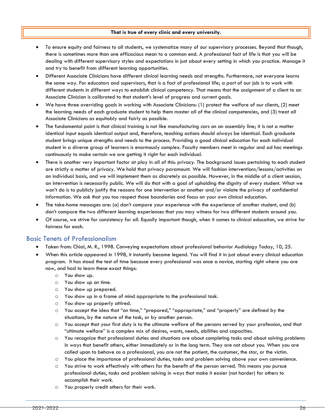#### **That is true of every clinic and every university.**

- To ensure equity and fairness to all students, we systematize many of our supervisory processes. Beyond that though, there is sometimes more than one efficacious mean to a common end. A professional fact of life is that you will be dealing with different supervisory styles and expectations in just about every setting in which you practice. Manage it and try to benefit from different learning opportunities.
- Different Associate Clinicians have different clinical learning needs and strengths. Furthermore, not everyone learns the same way. For educators and supervisors, that is a fact of professional life; a part of our job is to work with different students in different ways to establish clinical competency. That means that the assignment of a client to an Associate Clinician is calibrated to that student's level of progress and current goals.
- We have three overriding goals in working with Associate Clinicians: (1) protect the welfare of our clients, (2) meet the learning needs of each graduate student to help them master all of the clinical competencies, and (3) treat all Associate Clinicians as equitably and fairly as possible.
- The fundamental point is that clinical training is not like manufacturing cars on an assembly line; it is not a matter identical input equals identical output and, therefore, teaching actions should always be identical. Each graduate student brings unique strengths and needs to the process. Providing a good clinical education for each individual student in a diverse group of learners is enormously complex. Faculty members meet in regular and ad hoc meetings continuously to make certain we are getting it right for each individual.
- There is another very important factor at play in all of this: privacy. The background issues pertaining to each student are strictly a matter of privacy. We hold that privacy paramount. We will fashion interventions/lessons/activities on an individual basis, and we will implement them as discretely as possible. However, in the middle of a client session, an intervention is necessarily public. We will do that with a goal of upholding the dignity of every student. What we won't do is to publicly justify the reasons for one intervention or another and/or violate the privacy of confidential information. We ask that you too respect those boundaries and focus on your own clinical education.
- The take-home messages are: (a) don't compare your experience with the experience of another student, and (b) don't compare the two different learning experiences that you may witness for two different students around you.
- Of course, we strive for consistency for all. Equally important though, when it comes to clinical education, we strive for fairness for each.

## <span id="page-26-0"></span>Basic Tenets of Professionalism

- Taken from: Chial, M. R., 1998. Conveying expectations about professional behavior Audiology Today, 10, 25.
- When this article appeared in 1998, it instantly became legend. You will find it in just about every clinical education program. It has stood the test of time because every professional was once a novice, starting right where you are now, and had to learn these exact things:
	- o You show up.
	- o You show up on time.
	- o You show up prepared.
	- $\circ$  You show up in a frame of mind appropriate to the professional task.
	- o You show up properly attired.
	- o You accept the idea that "on time," "prepared," "appropriate," and "properly" are defined by the situations, by the nature of the task, or by another person.
	- o You accept that your first duty is to the ultimate welfare of the persons served by your profession, and that "ultimate welfare" is a complex mix of desires, wants, needs, abilities and capacities.
	- o You recognize that professional duties and situations are about completing tasks and about solving problems in ways that benefit others, either immediately or in the long term. They are not about you. When you are called upon to behave as a professional, you are not the patient, the customer, the star, or the victim.
	- o You place the importance of professional duties, tasks and problem solving above your own convenience.
	- o You strive to work effectively with others for the benefit of the person served. This means you pursue professional duties, tasks and problem solving in ways that make it easier (not harder) for others to accomplish their work.
	- o You properly credit others for their work.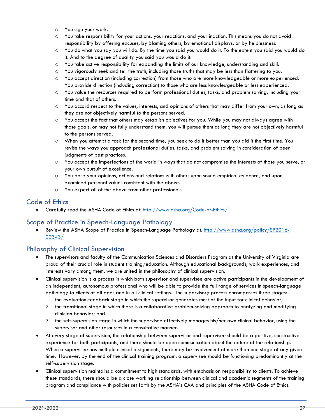- o You sign your work.
- o You take responsibility for your actions, your reactions, and your inaction. This means you do not avoid responsibility by offering excuses, by blaming others, by emotional displays, or by helplessness.
- o You do what you say you will do. By the time you said you would do it. To the extent you said you would do it. And to the degree of quality you said you would do it.
- o You take active responsibility for expanding the limits of our knowledge, understanding and skill.
- o You vigorously seek and tell the truth, including those truths that may be less than flattering to you.
- o You accept direction (including correction) from those who are more knowledgeable or more experienced. You provide direction (including correction) to those who are less knowledgeable or less experienced.
- o You value the resources required to perform professional duties, tasks, and problem solving, including your time and that of others.
- $\circ$  You accord respect to the values, interests, and opinions of others that may differ from your own, as long as they are not objectively harmful to the persons served.
- o You accept the fact that others may establish objectives for you. While you may not always agree with those goals, or may not fully understand them, you will pursue them as long they are not objectively harmful to the persons served.
- o When you attempt a task for the second time, you seek to do it better than you did it the first time. You revise the ways you approach professional duties, tasks, and problem solving in consideration of peer judgments of best practices.
- o You accept the imperfections of the world in ways that do not compromise the interests of those you serve, or your own pursuit of excellence.
- o You base your opinions, actions and relations with others upon sound empirical evidence, and upon examined personal values consistent with the above.
- o You expect all of the above from other professionals.

#### <span id="page-27-0"></span>Code of Ethics

• Carefully read the ASHA Code of Ethics at:<http://www.asha.org/Code-of-Ethics/>

## <span id="page-27-1"></span>Scope of Practice in Speech-Language Pathology

Review the ASHA Scope of Practice in Speech-Language Pathology at: [http://www.asha.org/policy/SP2016-](http://www.asha.org/policy/SP2016-00343/) [00343/](http://www.asha.org/policy/SP2016-00343/)

## <span id="page-27-2"></span>Philosophy of Clinical Supervision

- The supervisors and faculty of the Communication Sciences and Disorders Program at the University of Virginia are proud of their crucial role in student training/education. Although educational backgrounds, work experiences, and interests vary among them, we are united in the philosophy of clinical supervision.
- Clinical supervision is a process in which both supervisor and supervisee are active participants in the development of an independent, autonomous professional who will be able to provide the full range of services in speech-language pathology to clients of all ages and in all clinical settings. The supervisory process encompasses three stages:
	- 1. the evaluation-feedback stage in which the supervisor generates most of the input for clinical behavior;
	- 2. the transitional stage in which there is a collaborative problem-solving approach to analyzing and modifying clinician behavior; and
	- 3. the self-supervision stage in which the supervisee effectively manages his/her own clinical behavior, using the supervisor and other resources in a consultative manner.
- At every stage of supervision, the relationship between supervisor and supervisee should be a positive, constructive experience for both participants, and there should be open communication about the nature of the relationship. When a supervisee has multiple clinical assignments, there may be involvement at more than one stage at any given time. However, by the end of the clinical training program, a supervisee should be functioning predominantly at the self-supervision stage.
- Clinical supervision maintains a commitment to high standards, with emphasis on responsibility to clients. To achieve these standards, there should be a close working relationship between clinical and academic segments of the training program and compliance with policies set forth by the ASHA's CAA and principles of the ASHA Code of Ethics.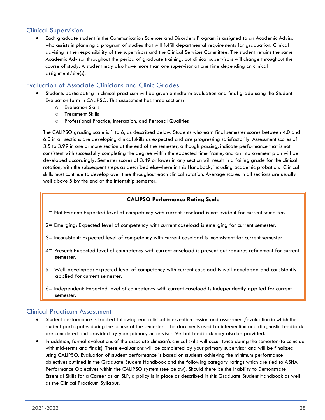# <span id="page-28-0"></span>Clinical Supervision

• Each graduate student in the Communication Sciences and Disorders Program is assigned to an Academic Advisor who assists in planning a program of studies that will fulfill departmental requirements for graduation. Clinical advising is the responsibility of the supervisors and the Clinical Services Committee. The student retains the same Academic Advisor throughout the period of graduate training, but clinical supervisors will change throughout the course of study. A student may also have more than one supervisor at one time depending on clinical assignment/site(s).

## <span id="page-28-1"></span>Evaluation of Associate Clinicians and Clinic Grades

- Students participating in clinical practicum will be given a midterm evaluation and final grade using the Student Evaluation form in CALIPSO. This assessment has three sections:
	- o Evaluation Skills
	- o Treatment Skills
	- o Professional Practice, Interaction, and Personal Qualities

The CALIPSO grading scale is 1 to 6, as described below. Students who earn final semester scores between 4.0 and 6.0 in all sections are developing clinical skills as expected and are progressing satisfactorily. Assessment scores of 3.5 to 3.99 in one or more section at the end of the semester, although passing, indicate performance that is not consistent with successfully completing the degree within the expected time frame, and an improvement plan will be developed accordingly. Semester scores of 3.49 or lower in any section will result in a failing grade for the clinical rotation, with the subsequent steps as described elsewhere in this Handbook, including academic probation. Clinical skills must continue to develop over time throughout each clinical rotation. Average scores in all sections are usually well above 5 by the end of the internship semester.

## **CALIPSO Performance Rating Scale**

- <span id="page-28-2"></span>1= Not Evident: Expected level of competency with current caseload is not evident for current semester.
- 2= Emerging: Expected level of competency with current caseload is emerging for current semester.
- 3= Inconsistent: Expected level of competency with current caseload is inconsistent for current semester.
- 4= Present: Expected level of competency with current caseload is present but requires refinement for current semester.
- 5= Well-developed: Expected level of competency with current caseload is well developed and consistently applied for current semester.
- 6= Independent: Expected level of competency with current caseload is independently applied for current semester.

## <span id="page-28-3"></span>Clinical Practicum Assessment

- Student performance is tracked following each clinical intervention session and assessment/evaluation in which the student participates during the course of the semester. The documents used for intervention and diagnostic feedback are completed and provided by your primary Supervisor. Verbal feedback may also be provided.
- In addition, formal evaluations of the associate clinician's clinical skills will occur twice during the semester (to coincide with mid-terms and finals). These evaluations will be completed by your primary supervisor and will be finalized using CALIPSO. Evaluation of student performance is based on students achieving the minimum performance objectives outlined in the Graduate Student Handbook and the following category ratings which are tied to ASHA Performance Objectives within the CALIPSO system (see below). Should there be the Inability to Demonstrate Essential Skills for a Career as an SLP, a policy is in place as described in this Graduate Student Handbook as well as the Clinical Practicum Syllabus.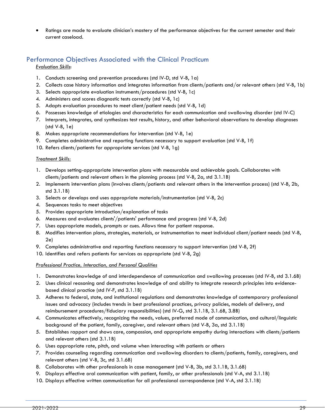• Ratings are made to evaluate clinician's mastery of the performance objectives for the current semester and their current caseload.

# Performance Objectives Associated with the Clinical Practicum

*Evaluation Skills*:

- 1. Conducts screening and prevention procedures (std IV-D, std V-B, 1a)
- 2. Collects case history information and integrates information from clients/patients and/or relevant others (std V-B, 1b)
- 3. Selects appropriate evaluation instruments/procedures (std V-B, 1c)
- 4. Administers and scores diagnostic tests correctly (std V-B, 1c)
- 5. Adapts evaluation procedures to meet client/patient needs (std V-B, 1d)
- 6. Possesses knowledge of etiologies and characteristics for each communication and swallowing disorder (std IV-C)
- 7. Interprets, integrates, and synthesizes test results, history, and other behavioral observations to develop diagnoses (std V-B, 1e)
- 8. Makes appropriate recommendations for intervention (std V-B, 1e)
- 9. Completes administrative and reporting functions necessary to support evaluation (std V-B, 1f)
- 10. Refers clients/patients for appropriate services (std V-B, 1g)

#### *Treatment Skills:*

- 1. Develops setting-appropriate intervention plans with measurable and achievable goals. Collaborates with clients/patients and relevant others in the planning process (std V-B, 2a, std 3.1.1B)
- 2. Implements intervention plans (involves clients/patients and relevant others in the intervention process) (std V-B, 2b, std 3.1.1B)
- 3. Selects or develops and uses appropriate materials/instrumentation (std V-B, 2c)
- 4. Sequences tasks to meet objectives
- 5. Provides appropriate introduction/explanation of tasks
- 6. Measures and evaluates clients'/patients' performance and progress (std V-B, 2d)
- 7. Uses appropriate models, prompts or cues. Allows time for patient response.
- 8. Modifies intervention plans, strategies, materials, or instrumentation to meet individual client/patient needs (std V-B, 2e)
- 9. Completes administrative and reporting functions necessary to support intervention (std V-B, 2f)
- 10. Identifies and refers patients for services as appropriate (std V-B, 2g)

#### *Professional Practice, Interaction, and Personal Qualities*

- 1. Demonstrates knowledge of and interdependence of communication and swallowing processes (std IV-B, std 3.1.6B)
- 2. Uses clinical reasoning and demonstrates knowledge of and ability to integrate research principles into evidencebased clinical practice (std IV-F, std 3.1.1B)
- 3. Adheres to federal, state, and institutional regulations and demonstrates knowledge of contemporary professional issues and advocacy (includes trends in best professional practices, privacy policies, models of delivery, and reimbursement procedures/fiduciary responsibilities) (std IV-G, std 3.1.1B, 3.1.6B, 3.8B)
- 4. Communicates effectively, recognizing the needs, values, preferred mode of communication, and cultural/linguistic background of the patient, family, caregiver, and relevant others (std V-B, 3a, std 3.1.1B)
- 5. Establishes rapport and shows care, compassion, and appropriate empathy during interactions with clients/patients and relevant others (std 3.1.1B)
- 6. Uses appropriate rate, pitch, and volume when interacting with patients or others
- 7. Provides counseling regarding communication and swallowing disorders to clients/patients, family, caregivers, and relevant others (std V-B, 3c, std 3.1.6B)
- 8. Collaborates with other professionals in case management (std V-B, 3b, std 3.1.1B, 3.1.6B)
- 9. Displays effective oral communication with patient, family, or other professionals (std V-A, std 3.1.1B)
- 10. Displays effective written communication for all professional correspondence (std V-A, std 3.1.1B)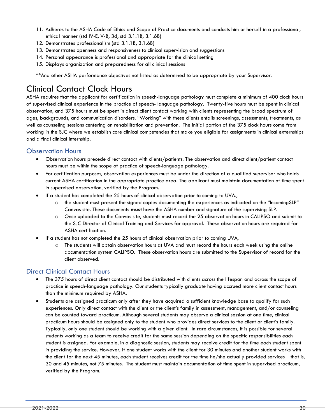- 11. Adheres to the ASHA Code of Ethics and Scope of Practice documents and conducts him or herself in a professional, ethical manner (std IV-E, V-B, 3d, std 3.1.1B, 3.1.6B)
- 12. Demonstrates professionalism (std 3.1.1B, 3.1.6B)
- 13. Demonstrates openness and responsiveness to clinical supervision and suggestions
- 14. Personal appearance is professional and appropriate for the clinical setting
- 15. Displays organization and preparedness for all clinical sessions

\*\*And other ASHA performance objectives not listed as determined to be appropriate by your Supervisor.

# <span id="page-30-0"></span>Clinical Contact Clock Hours

ASHA requires that the applicant for certification in speech-language pathology must complete a minimum of 400 clock hours of supervised clinical experience in the practice of speech- language pathology. Twenty-five hours must be spent in clinical observation, and 375 hours must be spent in direct client contact working with clients representing the broad spectrum of ages, backgrounds, and communication disorders. "Working" with these clients entails screenings, assessments, treatments, as well as counseling sessions centering on rehabilitation and prevention. The initial portion of the 375 clock hours come from working in the SJC where we establish core clinical competencies that make you eligible for assignments in clinical externships and a final clinical internship.

## <span id="page-30-1"></span>Observation Hours

- Observation hours precede direct contact with clients/patients. The observation and direct client/patient contact hours must be within the scope of practice of speech-language pathology.
- For certification purposes, observation experiences must be under the direction of a qualified supervisor who holds current ASHA certification in the appropriate practice area. The applicant must maintain documentation of time spent in supervised observation, verified by the Program.
- If a student has completed the 25 hours of clinical observation prior to coming to UVA.,
	- $\circ$  the student must present the signed copies documenting the experiences as indicated on the "IncomingSLP" Canvas site. These documents **must** have the ASHA number and signature of the supervising SLP.
	- o Once uploaded to the Canvas site, students must record the 25 observation hours in CALIPSO and submit to the SJC Director of Clinical Training and Services for approval. These observation hours are required for ASHA certification.
- If a student has not completed the 25 hours of clinical observation prior to coming UVA,
	- o The students will obtain observation hours at UVA and must record the hours each week using the online documentation system CALIPSO. These observation hours are submitted to the Supervisor of record for the client observed.

## <span id="page-30-2"></span>Direct Clinical Contact Hours

- The 375 hours of direct client contact should be distributed with clients across the lifespan and across the scope of practice in speech-language pathology. Our students typically graduate having accrued more client contact hours than the minimum required by ASHA.
- Students are assigned practicum only after they have acquired a sufficient knowledge base to qualify for such experiences. Only direct contact with the client or the client's family in assessment, management, and/or counseling can be counted toward practicum. Although several students may observe a clinical session at one time, clinical practicum hours should be assigned only to the student who provides direct services to the client or client's family. Typically, only one student should be working with a given client. In rare circumstances, it is possible for several students working as a team to receive credit for the same session depending on the specific responsibilities each student is assigned. For example, in a diagnostic session, students may receive credit for the time each student spent in providing the service. However, if one student works with the client for 30 minutes and another student works with the client for the next 45 minutes, each student receives credit for the time he/she actually provided services – that is, 30 and 45 minutes, not 75 minutes. The student must maintain documentation of time spent in supervised practicum, verified by the Program.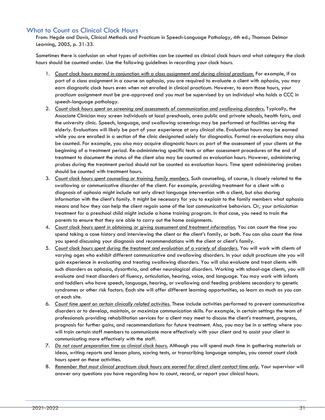## <span id="page-31-0"></span>What to Count as Clinical Clock Hours

From: Hegde and Davis, Clinical Methods and Practicum in Speech-Language Pathology, 4th ed.; Thomson Delmar Learning, 2005, p. 31-33.

Sometimes there is confusion on what types of activities can be counted as clinical clock hours and what category the clock hours should be counted under. Use the following guidelines in recording your clock hours.

- 1. *Count clock hours earned in conjunction with a class assignment and during clinical practicum.* For example, if as part of a class assignment in a course on aphasia, you are required to evaluate a client with aphasia, you may earn diagnostic clock hours even when not enrolled in clinical practicum. However, to earn those hours, your practicum assignment must be pre-approved and you must be supervised by an individual who holds a CCC in speech-language pathology.
- 2. *Count clock hours spent on screening and assessments of communication and swallowing disorders.* Typically, the Associate Clinician may screen individuals at local preschools, area public and private schools, health fairs, and the university clinic. Speech, language, and swallowing screenings may be performed at facilities serving the elderly. Evaluations will likely be part of your experience at any clinical site. Evaluation hours may be earned while you are enrolled in a section of the clinic designated solely for diagnostics. Formal re-evaluations may also be counted. For example, you also may acquire diagnostic hours as part of the assessment of your clients at the beginning of a treatment period. Re-administering specific tests or other assessment procedures at the end of treatment to document the status of the client also may be counted as evaluation hours. However, administering probes during the treatment period should not be counted as evaluation hours. Time spent administering probes should be counted with treatment hours.
- 3. *Count clock hours spent counseling or training family members.* Such counseling, of course, is closely related to the swallowing or communicative disorder of the client. For example, providing treatment for a client with a diagnosis of aphasia might include not only direct language intervention with a client, but also sharing information with the client's family. It might be necessary for you to explain to the family members what aphasia means and how they can help the client regain some of the lost communicative behaviors. Or, your articulation treatment for a preschool child might include a home training program. In that case, you need to train the parents to ensure that they are able to carry out the home assignments.
- 4. *Count clock hours spent in obtaining or giving assessment and treatment information.* You can count the time you spend taking a case history and interviewing the client or the client's family, or both. You can also count the time you spend discussing your diagnosis and recommendations with the client or client's family.
- 5. *Count clock hours spent during the treatment and evaluation of a variety of disorders.* You will work with clients of varying ages who exhibit different communicative and swallowing disorders. In your adult practicum site you will gain experience in evaluating and treating swallowing disorders. You will also evaluate and treat clients with such disorders as aphasia, dysarthria, and other neurological disorders. Working with school-age clients, you will evaluate and treat disorders of fluency, articulation, hearing, voice, and language. You may work with infants and toddlers who have speech, language, hearing, or swallowing and feeding problems secondary to genetic syndromes or other risk factors. Each site will offer different learning opportunities, so learn as much as you can at each site.
- 6. *Count time spent on certain clinically related activities.* These include activities performed to prevent communicative disorders or to develop, maintain, or maximize communication skills. For example, in certain settings the team of professionals providing rehabilitation services for a client may meet to discuss the client's treatment, progress, prognosis for further gains, and recommendations for future treatment. Also, you may be in a setting where you will train certain staff members to communicate more effectively with your client and to assist your client in communicating more effectively with the staff.
- 7. *Do not count preparation time as clinical clock hours.* Although you will spend much time in gathering materials or ideas, writing reports and lesson plans, scoring tests, or transcribing language samples, you cannot count clock hours spent on these activities.
- 8. *Remember that most clinical practicum clock hours are earned for direct client contact time only.* Your supervisor will answer any questions you have regarding how to count, record, or report your clinical hours.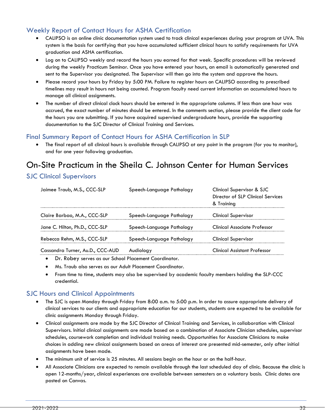# <span id="page-32-0"></span>Weekly Report of Contact Hours for ASHA Certification

- CALIPSO is an online clinic documentation system used to track clinical experiences during your program at UVA. This system is the basis for certifying that you have accumulated sufficient clinical hours to satisfy requirements for UVA graduation and ASHA certification.
- Log on to CALIPSO weekly and record the hours you earned for that week. Specific procedures will be reviewed during the weekly Practicum Seminar. Once you have entered your hours, an email is automatically generated and sent to the Supervisor you designated. The Supervisor will then go into the system and approve the hours.
- Please record your hours by Friday by 5:00 PM. Failure to register hours on CALIPSO according to prescribed timelines may result in hours not being counted. Program faculty need current information on accumulated hours to manage all clinical assignments.
- The number of direct clinical clock hours should be entered in the appropriate columns. If less than one hour was accrued, the exact number of minutes should be entered. In the comments section, please provide the client code for the hours you are submitting. If you have acquired supervised undergraduate hours, provide the supporting documentation to the SJC Director of Clinical Training and Services.

## <span id="page-32-1"></span>Final Summary Report of Contact Hours for ASHA Certification in SLP

The final report of all clinical hours is available through CALIPSO at any point in the program (for you to monitor), and for one year following graduation.

# <span id="page-32-2"></span>On-Site Practicum in the Sheila C. Johnson Center for Human Services

## <span id="page-32-3"></span>SJC Clinical Supervisors

| Jaimee Traub, M.S., CCC-SLP      | Speech-Language Pathology | Clinical Supervisor & SJC<br>Director of SLP Clinical Services<br>& Training |
|----------------------------------|---------------------------|------------------------------------------------------------------------------|
| Claire Barbao, M.A., CCC-SLP     | Speech-Language Pathology | <b>Clinical Supervisor</b>                                                   |
| Jane C. Hilton, Ph.D., CCC-SLP   | Speech-Language Pathology | <b>Clinical Associate Professor</b>                                          |
| Rebecca Rehm, M.S., CCC-SLP      | Speech-Language Pathology | <b>Clinical Supervisor</b>                                                   |
| Cassandra Turner, Au.D., CCC-AUD | Audioloay                 | <b>Clinical Assistant Professor</b>                                          |

- Dr. Robey serves as our School Placement Coordinator.
- Ms. Traub also serves as our Adult Placement Coordinator.
- From time to time, students may also be supervised by academic faculty members holding the SLP-CCC credential.

## <span id="page-32-4"></span>SJC Hours and Clinical Appointments

- The SJC is open Monday through Friday from 8:00 a.m. to 5:00 p.m. In order to assure appropriate delivery of clinical services to our clients and appropriate education for our students, students are expected to be available for clinic assignments Monday through Friday.
- Clinical assignments are made by the SJC Director of Clinical Training and Services, in collaboration with Clinical Supervisors. Initial clinical assignments are made based on a combination of Associate Clinician schedules, supervisor schedules, coursework completion and individual training needs. Opportunities for Associate Clinicians to make choices in adding new clinical assignments based on areas of interest are presented mid-semester, only after initial assignments have been made.
- The minimum unit of service is 25 minutes. All sessions begin on the hour or on the half-hour.
- All Associate Clinicians are expected to remain available through the last scheduled day of clinic. Because the clinic is open 12-months/year, clinical experiences are available between semesters on a voluntary basis. Clinic dates are posted on Canvas.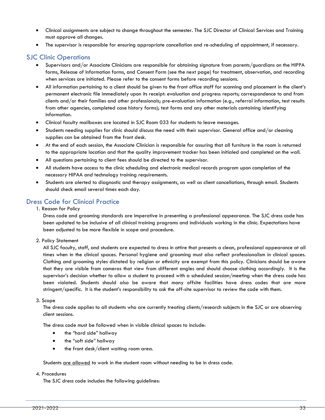- Clinical assignments are subject to change throughout the semester. The SJC Director of Clinical Services and Training must approve all changes.
- The supervisor is responsible for ensuring appropriate cancellation and re-scheduling of appointment, if necessary.

# <span id="page-33-0"></span>SJC Clinic Operations

- Supervisors and/or Associate Clinicians are responsible for obtaining signature from parents/guardians on the HIPPA forms, Release of Information forms, and Consent Form (see the next page) for treatment, observation, and recording when services are initiated. Please refer to the consent forms before recording sessions.
- All information pertaining to a client should be given to the front office staff for scanning and placement in the client's permanent electronic file immediately upon its receipt: evaluation and progress reports; correspondence to and from clients and/or their families and other professionals; pre-evaluation information (e.g., referral information, test results from other agencies, completed case history forms); test forms and any other materials containing identifying information.
- Clinical faculty mailboxes are located in SJC Room 033 for students to leave messages.
- Students needing supplies for clinic should discuss the need with their supervisor. General office and/or cleaning supplies can be obtained from the front desk.
- At the end of each session, the Associate Clinician is responsible for assuring that all furniture in the room is returned to the appropriate location and that the quality improvement tracker has been initialed and completed on the wall.
- All questions pertaining to client fees should be directed to the supervisor.
- All students have access to the clinic scheduling and electronic medical records program upon completion of the necessary HIPAA and technology training requirements.
- Students are alerted to diagnostic and therapy assignments, as well as client cancellations, through email. Students should check email several times each day.

## <span id="page-33-1"></span>Dress Code for Clinical Practice

1. Reason for Policy

Dress code and grooming standards are imperative in presenting a professional appearance. The SJC dress code has been updated to be inclusive of all clinical training programs and individuals working in the clinic. Expectations have been adjusted to be more flexible in scope and procedure.

2. Policy Statement

All SJC faculty, staff, and students are expected to dress in attire that presents a clean, professional appearance at all times when in the clinical spaces. Personal hygiene and grooming must also reflect professionalism in clinical spaces. Clothing and grooming styles dictated by religion or ethnicity are exempt from this policy. Clinicians should be aware that they are visible from cameras that view from different angles and should choose clothing accordingly. It is the supervisor's decision whether to allow a student to proceed with a scheduled session/meeting when the dress code has been violated. Students should also be aware that many offsite facilities have dress codes that are more stringent/specific. It is the student's responsibility to ask the off-site supervisor to review the code with them.

3. Scope

The dress code applies to all students who are currently treating clients/research subjects in the SJC or are observing client sessions.

The dress code must be followed when in visible clinical spaces to include:

- the "hard side" hallway
- the "soft side" hallway
- the front desk/client waiting room area.

Students are allowed to work in the student room without needing to be in dress code.

#### 4. Procedures

The SJC dress code includes the following guidelines: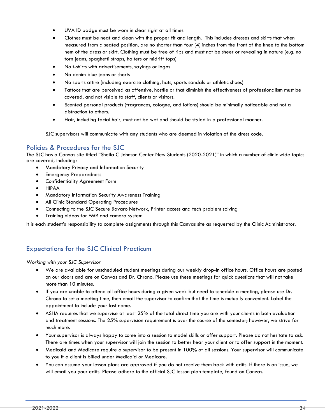- UVA ID badge must be worn in clear sight at all times
- Clothes must be neat and clean with the proper fit and length. This includes dresses and skirts that when measured from a seated position, are no shorter than four (4) inches from the front of the knee to the bottom hem of the dress or skirt. Clothing must be free of rips and must not be sheer or revealing in nature (e.g. no torn jeans, spaghetti straps, halters or midriff tops)
- No t-shirts with advertisements, sayings or logos
- No denim blue jeans or shorts
- No sports attire (including exercise clothing, hats, sports sandals or athletic shoes)
- Tattoos that are perceived as offensive, hostile or that diminish the effectiveness of professionalism must be covered, and not visible to staff, clients or visitors.
- Scented personal products (fragrances, cologne, and lotions) should be minimally noticeable and not a distraction to others.
- Hair, including facial hair, must not be wet and should be styled in a professional manner.

SJC supervisors will communicate with any students who are deemed in violation of the dress code.

## <span id="page-34-0"></span>Policies & Procedures for the SJC

The SJC has a Canvas site titled "Sheila C Johnson Center New Students (2020-2021)" in which a number of clinic wide topics are covered, including:

- Mandatory Privacy and Information Security
- Emergency Preparedness
- Confidentiality Agreement Form
- HIPAA
- Mandatory Information Security Awareness Training
- All Clinic Standard Operating Procedures
- Connecting to the SJC Secure Bavaro Network, Printer access and tech problem solving
- Training videos for EMR and camera system

It is each student's responsibility to complete assignments through this Canvas site as requested by the Clinic Administrator.

# <span id="page-34-1"></span>Expectations for the SJC Clinical Practicum

*Working with your SJC Supervisor* 

- We are available for unscheduled student meetings during our weekly drop-in office hours. Office hours are posted on our doors and are on Canvas and Dr. Chrono. Please use these meetings for quick questions that will not take more than 10 minutes.
- If you are unable to attend all office hours during a given week but need to schedule a meeting, please use Dr. Chrono to set a meeting time, then email the supervisor to confirm that the time is mutually convenient. Label the appointment to include your last name.
- ASHA requires that we supervise at least 25% of the total direct time you are with your clients in both evaluation and treatment sessions. The 25% supervision requirement is over the course of the semester; however, we strive for much more.
- Your supervisor is always happy to come into a session to model skills or offer support. Please do not hesitate to ask. There are times when your supervisor will join the session to better hear your client or to offer support in the moment.
- Medicaid and Medicare require a supervisor to be present in 100% of all sessions. Your supervisor will communicate to you if a client is billed under Medicaid or Medicare.
- You can assume your lesson plans are approved if you do not receive them back with edits. If there is an issue, we will email you your edits. Please adhere to the official SJC lesson plan template, found on Canvas.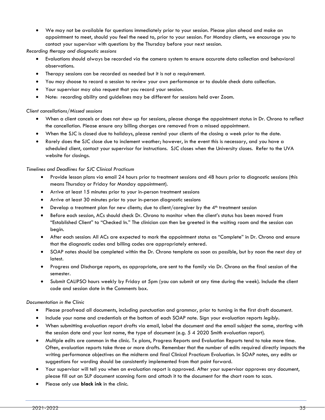• We may not be available for questions immediately prior to your session. Please plan ahead and make an appointment to meet, should you feel the need to, prior to your session. For Monday clients, we encourage you to contact your supervisor with questions by the Thursday before your next session.

*Recording therapy and diagnostic sessions* 

- Evaluations should always be recorded via the camera system to ensure accurate data collection and behavioral observations.
- Therapy sessions can be recorded as needed but it is not a requirement.
- You may choose to record a session to review your own performance or to double check data collection.
- Your supervisor may also request that you record your session.
- Note: recording ability and guidelines may be different for sessions held over Zoom.

#### *Client cancellations/Missed sessions*

- When a client cancels or does not show up for sessions, please change the appointment status in Dr. Chrono to reflect the cancellation. Please ensure any billing charges are removed from a missed appointment.
- When the SJC is closed due to holidays, please remind your clients of the closing a week prior to the date.
- Rarely does the SJC close due to inclement weather; however, in the event this is necessary, and you have a scheduled client, contact your supervisor for instructions. SJC closes when the University closes. Refer to the UVA website for closings.

#### *Timelines and Deadlines for SJC Clinical Practicum*

- Provide lesson plans via email 24 hours prior to treatment sessions and 48 hours prior to diagnostic sessions (this means Thursday or Friday for Monday appointment).
- Arrive at least 15 minutes prior to your in-person treatment sessions
- Arrive at least 30 minutes prior to your in-person diagnostic sessions
- Develop a treatment plan for new clients; due to client/caregiver by the  $4<sup>th</sup>$  treatment session
- Before each session, ACs should check Dr. Chrono to monitor when the client's status has been moved from "Established Client" to "Checked In." The clinician can then be greeted in the waiting room and the session can begin.
- After each session: All ACs are expected to mark the appointment status as "Complete" in Dr. Chrono and ensure that the diagnostic codes and billing codes are appropriately entered.
- SOAP notes should be completed within the Dr. Chrono template as soon as possible, but by noon the next day at latest.
- Progress and Discharge reports, as appropriate, are sent to the family via Dr. Chrono on the final session of the semester.
- Submit CALIPSO hours weekly by Friday at 5pm (you can submit at any time during the week). Include the client code and session date in the Comments box.

#### *Documentation in the Clinic*

- Please proofread all documents, including punctuation and grammar, prior to turning in the first draft document.
- Include your name and credentials at the bottom of each SOAP note. Sign your evaluation reports *legibly***.**
- When submitting evaluation report drafts via email, label the document and the email subject the same, starting with the session date and your last name, the type of document (e.g. 5 4 2020 Smith evaluation report).
- Multiple edits are common in the clinic. Tx plans, Progress Reports and Evaluation Reports tend to take more time. Often, evaluation reports take three or more drafts. Remember that the number of edits required directly impacts the writing performance objectives on the midterm and final Clinical Practicum Evaluation. In SOAP notes, any edits or suggestions for wording should be consistently implemented from that point forward.
- Your supervisor will tell you when an evaluation report is approved. After your supervisor approves any document, please fill out an SLP document scanning form and attach it to the document for the chart room to scan.
- Please only use **black ink** in the clinic.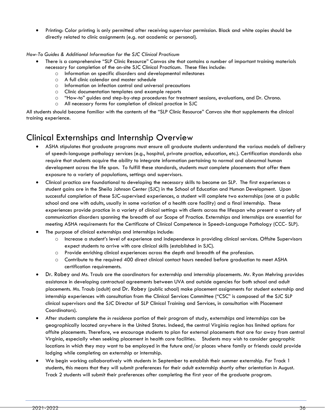• Printing: Color printing is only permitted after receiving supervisor permission. Black and white copies should be directly related to clinic assignments (e.g. not academic or personal).

#### *How-To Guides & Additional Information for the SJC Clinical Practicum*

- There is a comprehensive "SLP Clinic Resource" Canvas site that contains a number of important training materials necessary for completion of the on-site SJC Clinical Practicum. These files include:
	- o Information on specific disorders and developmental milestones
	- o A full clinic calendar and master schedule
	- o Information on infection control and universal precautions
	- o Clinic documentation templates and example reports
	- $\circ$  "How-to" guides and step-by-step procedures for treatment sessions, evaluations, and Dr. Chrono.<br>  $\circ$  All necessary forms for completion of clinical practice in SJC.
	- All necessary forms for completion of clinical practice in SJC

All students should become familiar with the contents of the "SLP Clinic Resource" Canvas site that supplements the clinical training experience.

# <span id="page-36-0"></span>Clinical Externships and Internship Overview

- ASHA stipulates that graduate programs must ensure all graduate students understand the various models of delivery of speech-language pathology services (e.g., hospital, private practice, education, etc.). Certification standards also require that students acquire the ability to integrate information pertaining to normal and abnormal human development across the life span. To fulfill these standards, students must complete placements that offer them exposure to a variety of populations, settings and supervisors.
- Clinical practica are foundational to developing the necessary skills to become an SLP. The first experiences a student gains are in the Sheila Johnson Center (SJC) in the School of Education and Human Development. Upon successful completion of these SJC-supervised experiences, a student will complete two externships (one at a public school and one with adults, usually in some variation of a health care facility) and a final internship. These experiences provide practice in a variety of clinical settings with clients across the lifespan who present a variety of communication disorders spanning the breadth of our Scope of Practice. Externships and internships are essential for meeting ASHA requirements for the Certificate of Clinical Competence in Speech-Language Pathology (CCC- SLP).
- The purpose of clinical externships and internships include:
	- o Increase a student's level of experience and independence in providing clinical services. Offsite Supervisors expect students to arrive with core clinical skills (established in SJC).
	- o Provide enriching clinical experiences across the depth and breadth of the profession.
	- o Contribute to the required 400 direct clinical contact hours needed before graduation to meet ASHA certification requirements.
- Dr. Robey and Ms. Traub are the coordinators for externship and internship placements. Mr. Ryan Mehring provides assistance in developing contractual agreements between UVA and outside agencies for both school and adult placements. Ms. Traub (adult) and Dr. Robey (public school) make placement assignments for student externship and internship experiences with consultation from the Clinical Services Committee ("CSC" is composed of the SJC SLP clinical supervisors and the SJC Director of SLP Clinical Training and Services, in consultation with Placement Coordinators).
- After students complete the *in residence* portion of their program of study, externships and internships can be geographically located anywhere in the United States. Indeed, the central Virginia region has limited options for offsite placements. Therefore, we encourage students to plan for external placements that are far away from central Virginia, especially when seeking placement in health care facilities. Students may wish to consider geographic locations in which they may want to be employed in the future and/or places where family or friends could provide lodging while completing an externship or internship.
- We begin working collaboratively with students in September to establish their summer externship. For Track 1 students, this means that they will submit preferences for their adult externship shortly after orientation in August. Track 2 students will submit their preferences after completing the first year of the graduate program.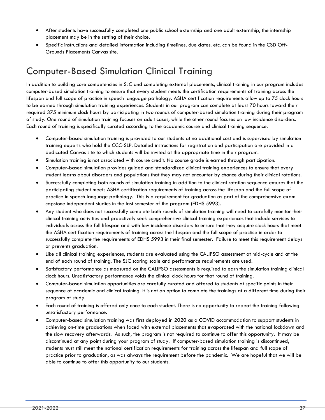- After students have successfully completed one public school externship and one adult externship, the internship placement may be in the setting of their choice.
- Specific instructions and detailed information including timelines, due dates, etc. can be found in the CSD Off-Grounds Placements Canvas site.

# <span id="page-37-0"></span>Computer-Based Simulation Clinical Training

In addition to building core competencies in SJC and completing external placements, clinical training in our program includes computer-based simulation training to ensure that every student meets the certification requirements of training across the lifespan and full scope of practice in speech language pathology. ASHA certification requirements allow up to 75 clock hours to be earned through simulation training experiences. Students in our program can complete at least 70 hours toward their required 375 minimum clock hours by participating in two rounds of computer-based simulation training during their program of study. One round of simulation training focuses on adult cases, while the other round focuses on low incidence disorders. Each round of training is specifically curated according to the academic course and clinical training sequence.

- Computer-based simulation training is provided to our students at no additional cost and is supervised by simulation training experts who hold the CCC-SLP. Detailed instructions for registration and participation are provided in a dedicated Canvas site to which students will be invited at the appropriate time in their program.
- Simulation training is not associated with course credit. No course grade is earned through participation.
- Computer-based simulation provides guided and standardized clinical training experiences to ensure that every student learns about disorders and populations that they may not encounter by chance during their clinical rotations.
- Successfully completing both rounds of simulation training in addition to the clinical rotation sequence ensures that the participating student meets ASHA certification requirements of training across the lifespan and the full scope of practice in speech language pathology. This is a requirement for graduation as part of the comprehensive exam capstone independent studies in the last semester of the program (EDHS 5993).
- Any student who does not successfully complete both rounds of simulation training will need to carefully monitor their clinical training activities and proactively seek comprehensive clinical training experiences that include services to individuals across the full lifespan and with low incidence disorders to ensure that they acquire clock hours that meet the ASHA certification requirements of training across the lifespan and the full scope of practice in order to successfully complete the requirements of EDHS 5993 in their final semester. Failure to meet this requirement delays or prevents graduation.
- Like all clinical training experiences, students are evaluated using the CALIPSO assessment at mid-cycle and at the end of each round of training. The SJC scoring scale and performance requirements are used.
- Satisfactory performance as measured on the CALIPSO assessments is required to earn the simulation training clinical clock hours. Unsatisfactory performance voids the clinical clock hours for that round of training.
- Computer-based simulation opportunities are carefully curated and offered to students at specific points in their sequence of academic and clinical training. It is not an option to complete the trainings at a different time during their program of study.
- Each round of training is offered only once to each student. There is no opportunity to repeat the training following unsatisfactory performance.
- Computer-based simulation training was first deployed in 2020 as a COVID accommodation to support students in achieving on-time graduations when faced with external placements that evaporated with the national lockdown and the slow recovery afterwards. As such, the program is not required to continue to offer this opportunity. It may be discontinued at any point during your program of study. If computer-based simulation training is discontinued, students must still meet the national certification requirements for training across the lifespan and full scope of practice prior to graduation, as was always the requirement before the pandemic. We are hopeful that we will be able to continue to offer this opportunity to our students.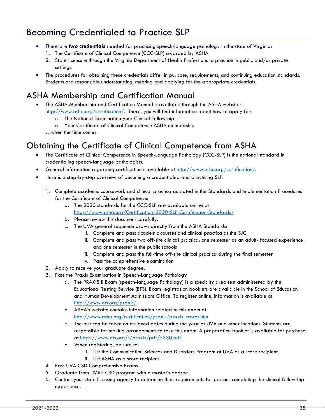# Becoming Credentialed to Practice SLP

- There are **two credentials** needed for practicing speech-language pathology in the state of Virginia:
	- 1. The Certificate of Clinical Competence (CCC-SLP) awarded by ASHA.
	- 2. State licensure through the Virginia Department of Health Professions to practice in public and/or private settings.
- The procedures for obtaining these credentials differ in purpose, requirements, and continuing education standards. Students are responsible understanding, meeting and applying for the appropriate credentials.

# <span id="page-38-0"></span>ASHA Membership and Certification Manual

• The ASHA Membership and Certification Manual is available through the ASHA website:

- [http://www.asha.org/certification/.](http://www.asha.org/certification/) There, you will find information about how to apply for:
	- o The National Examination your Clinical Fellowship
	- o Your Certificate of Clinical Competence ASHA membership
	- …when the time comes!

# <span id="page-38-1"></span>Obtaining the Certificate of Clinical Competence from ASHA

- The Certificate of Clinical Competence in Speech-Language Pathology (CCC-SLP) is the national standard in credentialing speech-language pathologists.
- General information regarding certification is available at [http://www.asha.org/certification/.](http://www.asha.org/certification/)
- Here is a step-by-step overview of becoming a credentialed and practicing SLP:
	- 1. Complete academic coursework and clinical practica as stated in the Standards and Implementation Procedures for the Certificate of Clinical Competence:
		- a. The 2020 standards for the CCC-SLP are available online at <https://www.asha.org/Certification/2020-SLP-Certification-Standards/>
		- b. Please review this document carefully.
		- c. The UVA general sequence draws directly from the ASHA Standards:
			- i. Complete and pass academic courses and clinical practica at the SJC
			- ii. Complete and pass two off-site clinical practica: one semester as an adult- focused experience and one semester in the public schools
			- iii. Complete and pass the full-time off-site clinical practica during the final semester
			- iv. Pass the comprehensive examination
	- 2. Apply to receive your graduate degree.
	- 3. Pass the Praxis Examination in Speech-Language Pathology
		- a. The PRAXIS II Exam (speech-language Pathology) is a specialty area test administered by the Educational Testing Service (ETS). Exam registration booklets are available in the School of Education and Human Development Admissions Office. To register online, information is available at <http://www.ets.org/praxis/> .
		- b. ASHA's website contains information related to this exam at [http://www.asha.org/certification/praxis/praxis\\_scores.htm](http://www.asha.org/certification/praxis/praxis_scores.htm)
		- c. The test can be taken on assigned dates during the year at UVA and other locations. Students are responsible for making arrangements to take this exam. A preparation booklet is available for purchase at<https://www.ets.org/s/praxis/pdf/5330.pdf>
		- d. When registering, be sure to:
			- i. List the Communication Sciences and Disorders Program at UVA as a score recipient.
			- ii. List ASHA as a score recipient.
	- 4. Pass UVA CSD Comprehensive Exams
	- 5. Graduate from UVA's CSD program with a master's degree.
	- 6. Contact your state licensing agency to determine their requirements for persons completing the clinical fellowship experience.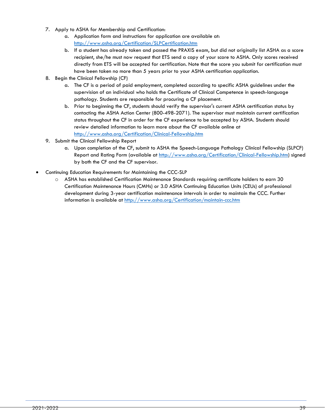- 7. Apply to ASHA for Membership and Certification:
	- a. Application form and instructions for application are available at: <http://www.asha.org/Certification/SLPCertification.htm>
	- b. If a student has already taken and passed the PRAXIS exam, but did not originally list ASHA as a score recipient, she/he must now request that ETS send a copy of your score to ASHA. Only scores received directly from ETS will be accepted for certification. Note that the score you submit for certification must have been taken no more than 5 years prior to your ASHA certification application.
- 8. Begin the Clinical Fellowship (CF)
	- a. The CF is a period of paid employment, completed according to specific ASHA guidelines under the supervision of an individual who holds the Certificate of Clinical Competence in speech-language pathology. Students are responsible for procuring a CF placement.
	- b. Prior to beginning the CF, students should verify the supervisor's current ASHA certification status by contacting the ASHA Action Center (800-498-2071). The supervisor must maintain current certification status throughout the CF in order for the CF experience to be accepted by ASHA. Students should review detailed information to learn more about the CF available online at <http://www.asha.org/Certification/Clinical-Fellowship.htm>
- 9. Submit the Clinical Fellowship Report
	- a. Upon completion of the CF, submit to ASHA the Speech-Language Pathology Clinical Fellowship (SLPCF) Report and Rating Form (available at [http://www.asha.org/Certification/Clinical-Fellowship.htm\)](http://www.asha.org/Certification/Clinical-Fellowship.htm) signed by both the CF and the CF supervisor.
- Continuing Education Requirements for Maintaining the CCC-SLP
	- o ASHA has established Certification Maintenance Standards requiring certificate holders to earn 30 Certification Maintenance Hours (CMHs) or 3.0 ASHA Continuing Education Units (CEUs) of professional development during 3-year certification maintenance intervals in order to maintain the CCC. Further information is available at<http://www.asha.org/Certification/maintain-ccc.htm>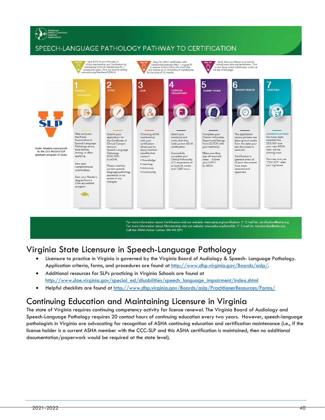# SPEECH-LANGUAGE PATHOLOGY PATHWAY TO CERTIFICATION



For more information about Certification visit our website: www.asha.org/certification // E-mail Us: certification@asha.org For more information about Membership visit our website: www.asha.org/benefits // E-mail Us: membership@asha.org Call the ASHA Action Center: 800-498-2071

# <span id="page-40-0"></span>Virginia State Licensure in Speech-Language Pathology

- Licensure to practice in Virginia is governed by the Virginia Board of Audiology & Speech- Language Pathology. Application criteria, forms, and procedures are found at [http://www.dhp.virginia.gov/Boards/aslp/.](http://www.dhp.virginia.gov/Boards/aslp/)
- Additional resources for SLPs practicing in Virginia Schools are found at [http://www.doe.virginia.gov/special\\_ed/disabilities/speech\\_language\\_impairment/index.shtml](http://www.doe.virginia.gov/special_ed/disabilities/speech_language_impairment/index.shtml)
- Helpful checklists are found at<http://www.dhp.virginia.gov/Boards/aslp/PractitionerResources/Forms/>

# <span id="page-40-1"></span>Continuing Education and Maintaining Licensure in Virginia

The state of Virginia requires continuing competency activity for license renewal. The Virginia Board of Audiology and Speech-Language Pathology requires 20 contact hours of continuing education every two years. However, speech-language pathologists in Virginia are advocating for recognition of ASHA continuing education and certification maintenance (i.e., if the license holder is a current ASHA member with the CCC-SLP and this ASHA certification is maintained, then no additional documentation/paperwork would be required at the state level).

AMERICAN<br>SPEECH-LANGUAGE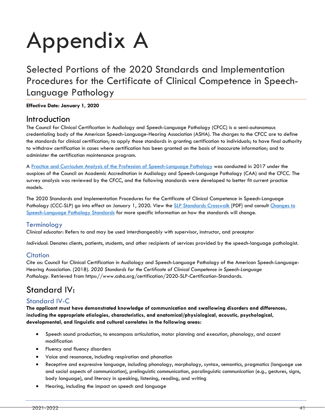# Appendix A

<span id="page-41-0"></span>Selected Portions of the 2020 Standards and Implementation Procedures for the Certificate of Clinical Competence in Speech-Language Pathology

#### **Effective Date: January 1, 2020**

# Introduction

The Council for Clinical Certification in Audiology and Speech-Language Pathology (CFCC) is a semi-autonomous credentialing body of the American Speech-Language-Hearing Association (ASHA). The charges to the CFCC are to define the standards for clinical certification; to apply those standards in granting certification to individuals; to have final authority to withdraw certification in cases where certification has been granted on the basis of inaccurate information; and to administer the certification maintenance program.

A [Practice and Curriculum Analysis of the Profession of Speech-Language Pathology](https://www.asha.org/Certification/SLP-Practice-Analysis-and-Curriculum-Study/) was conducted in 2017 under the auspices of the Council on Academic Accreditation in Audiology and Speech-Language Pathology (CAA) and the CFCC. The survey analysis was reviewed by the CFCC, and the following standards were developed to better fit current practice models.

The 2020 Standards and Implementation Procedures for the Certificate of Clinical Competence in Speech-Language Pathology (CCC-SLP) go into effect on January 1, 2020. View the [SLP Standards Crosswalk](https://www.asha.org/uploadedFiles/2014-2020-SLP-Crosswalk.pdf) [PDF] and consult [Changes to](https://www.asha.org/Certification/Certification-Standards-Change-in-2020/)  [Speech-Language Pathology Standards](https://www.asha.org/Certification/Certification-Standards-Change-in-2020/) for more specific information on how the standards will change.

## Terminology

*Clinical educator*: Refers to and may be used interchangeably with supervisor, instructor, and preceptor

*Individual*: Denotes clients, patients, students, and other recipients of services provided by the speech-language pathologist.

## **Citation**

Cite as: Council for Clinical Certification in Audiology and Speech-Language Pathology of the American Speech-Language-Hearing Association. (2018). *2020 Standards for the Certificate of Clinical Competence in Speech-Language Pathology.* Retrieved from https://www.asha.org/certification/2020-SLP-Certification-Standards.

# Standard IV:

# Standard IV-C

**The applicant must have demonstrated knowledge of communication and swallowing disorders and differences, including the appropriate etiologies, characteristics, and anatomical/physiological, acoustic, psychological, developmental, and linguistic and cultural correlates in the following areas:**

- Speech sound production, to encompass articulation, motor planning and execution, phonology, and accent modification
- Fluency and fluency disorders
- Voice and resonance, including respiration and phonation
- Receptive and expressive language, including phonology, morphology, syntax, semantics, pragmatics (language use and social aspects of communication), prelinguistic communication, paralinguistic communication (e.g., gestures, signs, body language), and literacy in speaking, listening, reading, and writing
- Hearing, including the impact on speech and language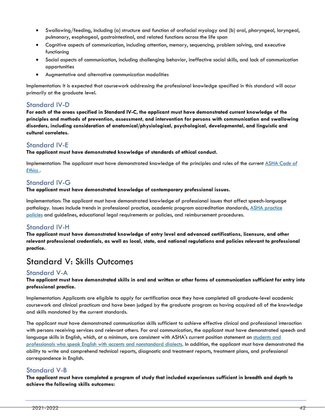- Swallowing/feeding, including (a) structure and function of orofacial myology and (b) oral, pharyngeal, laryngeal, pulmonary, esophageal, gastrointestinal, and related functions across the life span
- Cognitive aspects of communication, including attention, memory, sequencing, problem solving, and executive functioning
- Social aspects of communication, including challenging behavior, ineffective social skills, and lack of communication opportunities
- Augmentative and alternative communication modalities

Implementation: It is expected that coursework addressing the professional knowledge specified in this standard will occur primarily at the graduate level.

# Standard IV-D

**For each of the areas specified in Standard IV-C, the applicant must have demonstrated current knowledge of the principles and methods of prevention, assessment, and intervention for persons with communication and swallowing disorders, including consideration of anatomical/physiological, psychological, developmental, and linguistic and cultural correlates.**

# Standard IV-E

**The applicant must have demonstrated knowledge of standards of ethical conduct.**

Implementation: The applicant must have demonstrated knowledge of the principles and rules of the current ASHA *[Code of](https://www.asha.org/Code-of-Ethics/)  [Ethics](https://www.asha.org/Code-of-Ethics/)* .

# Standard IV-G

**The applicant must have demonstrated knowledge of contemporary professional issues.**

Implementation: The applicant must have demonstrated knowledge of professional issues that affect speech-language pathology. Issues include trends in professional practice, academic program accreditation standards, [ASHA practice](https://www.asha.org/policy/about/)  [policies](https://www.asha.org/policy/about/) and guidelines, educational legal requirements or policies, and reimbursement procedures.

# Standard IV-H

**The applicant must have demonstrated knowledge of entry level and advanced certifications, licensure, and other relevant professional credentials, as well as local, state, and national regulations and policies relevant to professional practice.**

# Standard V: Skills Outcomes

## Standard V-A

#### **The applicant must have demonstrated skills in oral and written or other forms of communication sufficient for entry into professional practice.**

Implementation: Applicants are eligible to apply for certification once they have completed all graduate-level academic coursework and clinical practicum and have been judged by the graduate program as having acquired all of the knowledge and skills mandated by the current standards.

The applicant must have demonstrated communication skills sufficient to achieve effective clinical and professional interaction with persons receiving services and relevant others. For oral communication, the applicant must have demonstrated speech and language skills in English, which, at a minimum, are consistent with ASHA's current position statement on [students and](https://www.asha.org/policy/ps1998-00117/)  [professionals who speak English with accents and nonstandard dialects.](https://www.asha.org/policy/ps1998-00117/) In addition, the applicant must have demonstrated the ability to write and comprehend technical reports, diagnostic and treatment reports, treatment plans, and professional correspondence in English.

## Standard V-B

**The applicant must have completed a program of study that included experiences sufficient in breadth and depth to achieve the following skills outcomes:**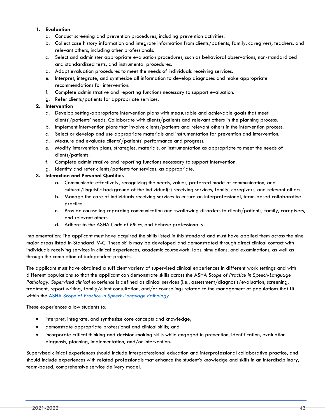#### **1. Evaluation**

- a. Conduct screening and prevention procedures, including prevention activities.
- b. Collect case history information and integrate information from clients/patients, family, caregivers, teachers, and relevant others, including other professionals.
- c. Select and administer appropriate evaluation procedures, such as behavioral observations, non-standardized and standardized tests, and instrumental procedures.
- d. Adapt evaluation procedures to meet the needs of individuals receiving services.
- e. Interpret, integrate, and synthesize all information to develop diagnoses and make appropriate recommendations for intervention.
- f. Complete administrative and reporting functions necessary to support evaluation.
- g. Refer clients/patients for appropriate services.

#### **2. Intervention**

- a. Develop setting-appropriate intervention plans with measurable and achievable goals that meet clients'/patients' needs. Collaborate with clients/patients and relevant others in the planning process.
- b. Implement intervention plans that involve clients/patients and relevant others in the intervention process.
- c. Select or develop and use appropriate materials and instrumentation for prevention and intervention.
- d. Measure and evaluate clients'/patients' performance and progress.
- e. Modify intervention plans, strategies, materials, or instrumentation as appropriate to meet the needs of clients/patients.
- f. Complete administrative and reporting functions necessary to support intervention.
- g. Identify and refer clients/patients for services, as appropriate.

#### **3. Interaction and Personal Qualities**

- a. Communicate effectively, recognizing the needs, values, preferred mode of communication, and cultural/linguistic background of the individual(s) receiving services, family, caregivers, and relevant others.
- b. Manage the care of individuals receiving services to ensure an interprofessional, team-based collaborative practice.
- c. Provide counseling regarding communication and swallowing disorders to clients/patients, family, caregivers, and relevant others.
- d. Adhere to the ASHA *Code of Ethics*, and behave professionally.

Implementation: The applicant must have acquired the skills listed in this standard and must have applied them across the nine major areas listed in Standard IV-C. These skills may be developed and demonstrated through direct clinical contact with individuals receiving services in clinical experiences, academic coursework, labs, simulations, and examinations, as well as through the completion of independent projects.

The applicant must have obtained a sufficient variety of supervised clinical experiences in different work settings and with different populations so that the applicant can demonstrate skills across the ASHA *Scope of Practice in Speech-Language Pathology*. *Supervised clinical experience* is defined as clinical services (i.e., assessment/diagnosis/evaluation, screening, treatment, report writing, family/client consultation, and/or counseling) related to the management of populations that fit within the ASHA *Scope of [Practice in Speech-Language Pathology](https://www.asha.org/policy/SP2016-00343/)* .

These experiences allow students to:

- interpret, integrate, and synthesize core concepts and knowledge;
- demonstrate appropriate professional and clinical skills; and
- incorporate critical thinking and decision-making skills while engaged in prevention, identification, evaluation, diagnosis, planning, implementation, and/or intervention.

Supervised clinical experiences should include interprofessional education and interprofessional collaborative practice, and should include experiences with related professionals that enhance the student's knowledge and skills in an interdisciplinary, team-based, comprehensive service delivery model.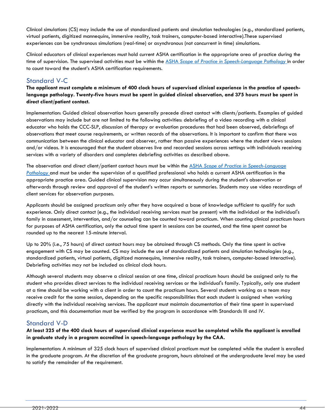Clinical simulations (CS) may include the use of standardized patients and simulation technologies (e.g., standardized patients, virtual patients, digitized mannequins, immersive reality, task trainers, computer-based interactive).These supervised experiences can be synchronous simulations (real-time) or asynchronous (not concurrent in time) simulations.

Clinical educators of clinical experiences must hold current ASHA certification in the appropriate area of practice during the time of supervision. The supervised activities must be within the ASHA *[Scope of Practice in Speech-Language Pathology](https://www.asha.org/policy/SP2016-00343/)* in order to count toward the student's ASHA certification requirements.

# Standard V-C

**The applicant must complete a minimum of 400 clock hours of supervised clinical experience in the practice of speechlanguage pathology. Twenty-five hours must be spent in guided clinical observation, and 375 hours must be spent in direct client/patient contact.**

Implementation: Guided clinical observation hours generally precede direct contact with clients/patients. Examples of guided observations may include but are not limited to the following activities: debriefing of a video recording with a clinical educator who holds the CCC-SLP, discussion of therapy or evaluation procedures that had been observed, debriefings of observations that meet course requirements, or written records of the observations. It is important to confirm that there was communication between the clinical educator and observer, rather than passive experiences where the student views sessions and/or videos. It is encouraged that the student observes live and recorded sessions across settings with individuals receiving services with a variety of disorders and completes debriefing activities as described above.

The observation and direct client/patient contact hours must be within the ASHA *[Scope of Practice in Speech-Language](https://www.asha.org/policy/SP2016-00343/)  [Pathology](https://www.asha.org/policy/SP2016-00343/)* and must be under the supervision of a qualified professional who holds a current ASHA certification in the appropriate practice area. Guided clinical supervision may occur simultaneously during the student's observation or afterwards through review and approval of the student's written reports or summaries. Students may use video recordings of client services for observation purposes.

Applicants should be assigned practicum only after they have acquired a base of knowledge sufficient to qualify for such experience. Only direct contact (e.g., the individual receiving services must be present) with the individual or the individual's family in assessment, intervention, and/or counseling can be counted toward practicum. When counting clinical practicum hours for purposes of ASHA certification, only the actual time spent in sessions can be counted, and the time spent cannot be rounded up to the nearest 15-minute interval.

Up to 20% (i.e., 75 hours) of direct contact hours may be obtained through CS methods. Only the time spent in active engagement with CS may be counted. CS may include the use of standardized patients and simulation technologies (e.g., standardized patients, virtual patients, digitized mannequins, immersive reality, task trainers, computer-based interactive). Debriefing activities may not be included as clinical clock hours.

Although several students may observe a clinical session at one time, clinical practicum hours should be assigned only to the student who provides direct services to the individual receiving services or the individual's family. Typically, only one student at a time should be working with a client in order to count the practicum hours. Several students working as a team may receive credit for the same session, depending on the specific responsibilities that each student is assigned when working directly with the individual receiving services. The applicant must maintain documentation of their time spent in supervised practicum, and this documentation must be verified by the program in accordance with Standards III and IV.

# Standard V-D

**At least 325 of the 400 clock hours of supervised clinical experience must be completed while the applicant is enrolled in graduate study in a program accredited in speech-language pathology by the CAA.**

Implementation: A minimum of 325 clock hours of supervised clinical practicum must be completed while the student is enrolled in the graduate program. At the discretion of the graduate program, hours obtained at the undergraduate level may be used to satisfy the remainder of the requirement.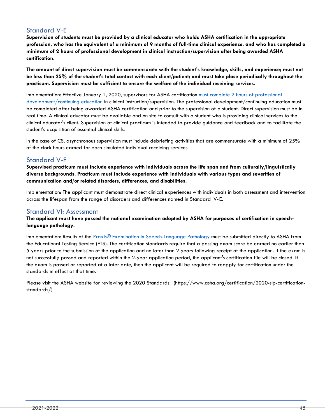# Standard V-E

**Supervision of students must be provided by a clinical educator who holds ASHA certification in the appropriate profession, who has the equivalent of a minimum of 9 months of full-time clinical experience, and who has completed a minimum of 2 hours of professional development in clinical instruction/supervision after being awarded ASHA certification.**

**The amount of direct supervision must be commensurate with the student's knowledge, skills, and experience; must not be less than 25% of the student's total contact with each client/patient; and must take place periodically throughout the practicum. Supervision must be sufficient to ensure the welfare of the individual receiving services.**

Implementation: Effective January 1, 2020, supervisors for ASHA certification [must complete 2 hours of professional](https://www.asha.org/Certification/Prof-Dev-for-2020-Certification-Standards/)  [development/continuing education](https://www.asha.org/Certification/Prof-Dev-for-2020-Certification-Standards/) in clinical instruction/supervision. The professional development/continuing education must be completed after being awarded ASHA certification and prior to the supervision of a student. Direct supervision must be in real time. A clinical educator must be available and on site to consult with a student who is providing clinical services to the clinical educator's client. Supervision of clinical practicum is intended to provide guidance and feedback and to facilitate the student's acquisition of essential clinical skills.

In the case of CS, asynchronous supervision must include debriefing activities that are commensurate with a minimum of 25% of the clock hours earned for each simulated individual receiving services.

## Standard V-F

**Supervised practicum must include experience with individuals across the life span and from culturally/linguistically diverse backgrounds. Practicum must include experience with individuals with various types and severities of communication and/or related disorders, differences, and disabilities.**

Implementation: The applicant must demonstrate direct clinical experiences with individuals in both assessment and intervention across the lifespan from the range of disorders and differences named in Standard IV-C.

## Standard VI: Assessment

**The applicant must have passed the national examination adopted by ASHA for purposes of certification in speechlanguage pathology.**

Implementation: Results of the [Praxis® Examination in Speech-Language Pathology](https://www.asha.org/Certification/praxis/About-the-Speech-Language-Pathology-Praxis-Exam/) must be submitted directly to ASHA from the Educational Testing Service (ETS). The certification standards require that a passing exam score be earned no earlier than 5 years prior to the submission of the application and no later than 2 years following receipt of the application. If the exam is not successfully passed and reported within the 2-year application period, the applicant's certification file will be closed. If the exam is passed or reported at a later date, then the applicant will be required to reapply for certification under the standards in effect at that time.

Please visit the ASHA website for reviewing the 2020 Standards: (https://www.asha.org/certification/2020-slp-certificationstandards/)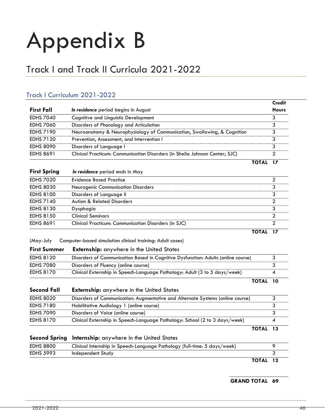# Appendix B

# <span id="page-46-0"></span>Track I and Track II Curricula 2021-2022

# Track I Curriculum 2021-2022

|                  |                                                                             | Credit       |
|------------------|-----------------------------------------------------------------------------|--------------|
| First Fall       | In residence period begins in August                                        | <b>Hours</b> |
| <b>EDHS 7040</b> | Cognitive and Linguistic Development                                        |              |
| <b>EDHS 7060</b> | Disorders of Phonology and Articulation                                     |              |
| <b>EDHS 7190</b> | Neuroanatomy & Neurophysiology of Communication, Swallowing, & Cognition    |              |
| <b>EDHS 7120</b> | Prevention, Assessment, and Intervention I                                  |              |
| <b>EDHS 8090</b> | Disorders of Language I                                                     |              |
| <b>EDHS 8691</b> | Clinical Practicum: Communication Disorders (in Sheila Johnson Center; SJC) |              |
|                  |                                                                             |              |

| <b>First Spring</b> | In residence period ends in May |
|---------------------|---------------------------------|
|---------------------|---------------------------------|

| <b>EDHS 7020</b> | Evidence Based Practice                              |  |
|------------------|------------------------------------------------------|--|
| <b>EDHS 8030</b> | <b>Neurogenic Communication Disorders</b>            |  |
| <b>EDHS 8100</b> | Disorders of Language II                             |  |
| <b>EDHS 7140</b> | <b>Autism &amp; Related Disorders</b>                |  |
| <b>EDHS 8130</b> | <b>vsnhagia</b>                                      |  |
| <b>EDHS 8150</b> | Clinical Seminars                                    |  |
| <b>EDHS 8691</b> | Clinical Practicum: Communication Disorders (in SJC) |  |
|                  |                                                      |  |

**TOTAL 17**

**TOTAL 13**

(May-July Computer-based simulation clinical training: Adult cases)

| <b>First Summer</b> | <b>Externship:</b> anywhere in the United States |  |  |  |  |
|---------------------|--------------------------------------------------|--|--|--|--|
|---------------------|--------------------------------------------------|--|--|--|--|

| EDHS 8120        | Disorders of Communication Based in Cognitive Dysfunction: Adults (online course) |  |
|------------------|-----------------------------------------------------------------------------------|--|
| <b>EDHS 7080</b> | Disorders of Fluency (online course)                                              |  |
| <b>EDHS 8170</b> | Clinical Externship in Speech-Language Pathology: Adult (3 to 5 days/week)        |  |
|                  |                                                                                   |  |

| Second Fall | <b>Externship:</b> anywhere in the United States                               |  |
|-------------|--------------------------------------------------------------------------------|--|
| EDHS 8020   | Disorders of Communication: Augmentative and Alternate Systems (online course) |  |
| EDHS 7180   | Habilitative Audiology 1 (online course)                                       |  |
| EDHS 7090   | Disorders of Voice (online course)                                             |  |
| EDHS 8170   | Clinical Externship in Speech-Language Pathology: School (2 to 3 days/week)    |  |

|                  | Second Spring Internship: anywhere in the United States                   |          |  |
|------------------|---------------------------------------------------------------------------|----------|--|
| <b>EDHS 8800</b> | Clinical Internship in Speech-Language Pathology (full-time: 5 days/week) |          |  |
| <b>EDHS 5993</b> | Independent Study                                                         |          |  |
|                  |                                                                           | TOTAL 12 |  |

 **GRAND TOTAL 69**